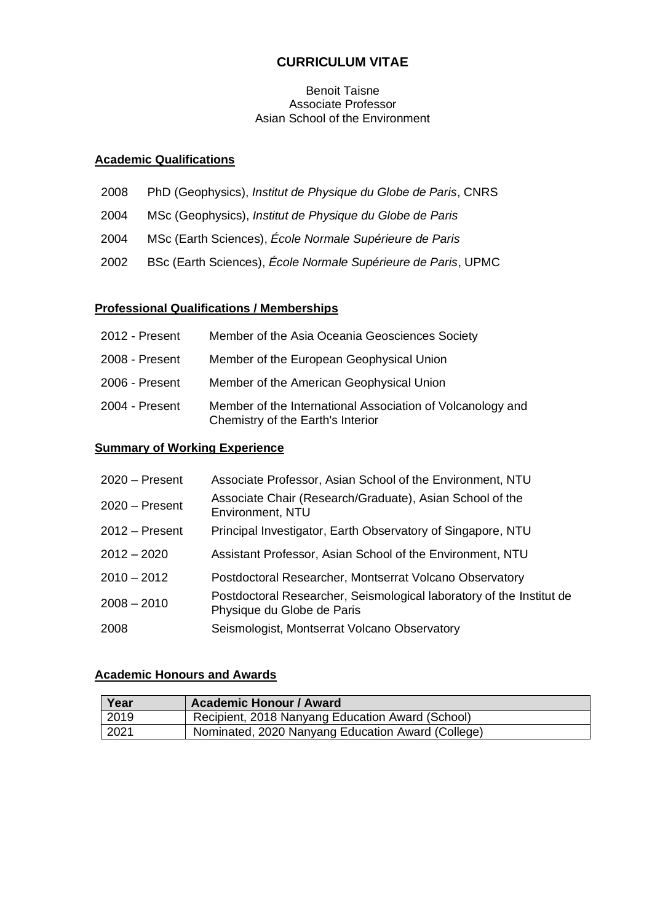# **CURRICULUM VITAE**

#### Benoit Taisne Associate Professor Asian School of the Environment

#### **Academic Qualifications**

- 2008 PhD (Geophysics), *Institut de Physique du Globe de Paris*, CNRS
- 2004 MSc (Geophysics), *Institut de Physique du Globe de Paris*
- 2004 MSc (Earth Sciences), *École Normale Supérieure de Paris*
- 2002 BSc (Earth Sciences), *École Normale Supérieure de Paris*, UPMC

### **Professional Qualifications / Memberships**

| 2012 - Present | Member of the Asia Oceania Geosciences Society                                                  |
|----------------|-------------------------------------------------------------------------------------------------|
| 2008 - Present | Member of the European Geophysical Union                                                        |
| 2006 - Present | Member of the American Geophysical Union                                                        |
| 2004 - Present | Member of the International Association of Volcanology and<br>Chemistry of the Earth's Interior |

#### **Summary of Working Experience**

| $2020 -$ Present | Associate Professor, Asian School of the Environment, NTU                                          |
|------------------|----------------------------------------------------------------------------------------------------|
| $2020 -$ Present | Associate Chair (Research/Graduate), Asian School of the<br>Environment, NTU                       |
| $2012 -$ Present | Principal Investigator, Earth Observatory of Singapore, NTU                                        |
| $2012 - 2020$    | Assistant Professor, Asian School of the Environment, NTU                                          |
| $2010 - 2012$    | Postdoctoral Researcher, Montserrat Volcano Observatory                                            |
| $2008 - 2010$    | Postdoctoral Researcher, Seismological laboratory of the Institut de<br>Physique du Globe de Paris |
| 2008             | Seismologist, Montserrat Volcano Observatory                                                       |

#### **Academic Honours and Awards**

| Year | <b>Academic Honour / Award</b>                    |
|------|---------------------------------------------------|
| 2019 | Recipient, 2018 Nanyang Education Award (School)  |
| 2021 | Nominated, 2020 Nanyang Education Award (College) |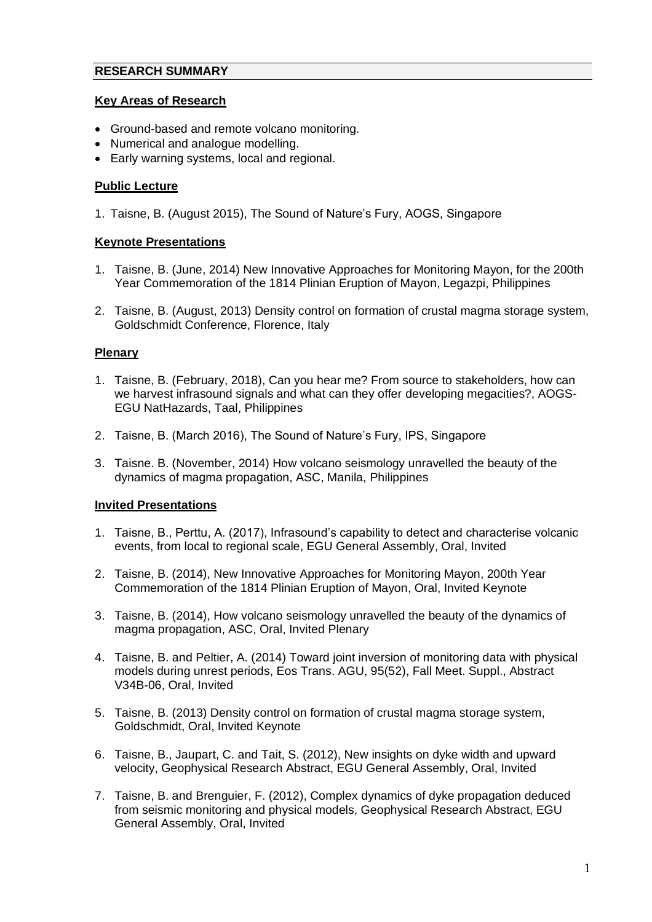### **RESEARCH SUMMARY**

#### **Key Areas of Research**

- Ground-based and remote volcano monitoring.
- Numerical and analogue modelling.
- Early warning systems, local and regional.

## **Public Lecture**

1. Taisne, B. (August 2015), The Sound of Nature's Fury, AOGS, Singapore

### **Keynote Presentations**

- 1. Taisne, B. (June, 2014) New Innovative Approaches for Monitoring Mayon, for the 200th Year Commemoration of the 1814 Plinian Eruption of Mayon, Legazpi, Philippines
- 2. Taisne, B. (August, 2013) Density control on formation of crustal magma storage system, Goldschmidt Conference, Florence, Italy

## **Plenary**

- 1. Taisne, B. (February, 2018), Can you hear me? From source to stakeholders, how can we harvest infrasound signals and what can they offer developing megacities?, AOGS-EGU NatHazards, Taal, Philippines
- 2. Taisne, B. (March 2016), The Sound of Nature's Fury, IPS, Singapore
- 3. Taisne. B. (November, 2014) How volcano seismology unravelled the beauty of the dynamics of magma propagation, ASC, Manila, Philippines

## **Invited Presentations**

- 1. Taisne, B., Perttu, A. (2017), Infrasound's capability to detect and characterise volcanic events, from local to regional scale, EGU General Assembly, Oral, Invited
- 2. Taisne, B. (2014), New Innovative Approaches for Monitoring Mayon, 200th Year Commemoration of the 1814 Plinian Eruption of Mayon, Oral, Invited Keynote
- 3. Taisne, B. (2014), How volcano seismology unravelled the beauty of the dynamics of magma propagation, ASC, Oral, Invited Plenary
- 4. Taisne, B. and Peltier, A. (2014) Toward joint inversion of monitoring data with physical models during unrest periods, Eos Trans. AGU, 95(52), Fall Meet. Suppl., Abstract V34B-06, Oral, Invited
- 5. Taisne, B. (2013) Density control on formation of crustal magma storage system, Goldschmidt, Oral, Invited Keynote
- 6. Taisne, B., Jaupart, C. and Tait, S. (2012), New insights on dyke width and upward velocity, Geophysical Research Abstract, EGU General Assembly, Oral, Invited
- 7. Taisne, B. and Brenguier, F. (2012), Complex dynamics of dyke propagation deduced from seismic monitoring and physical models, Geophysical Research Abstract, EGU General Assembly, Oral, Invited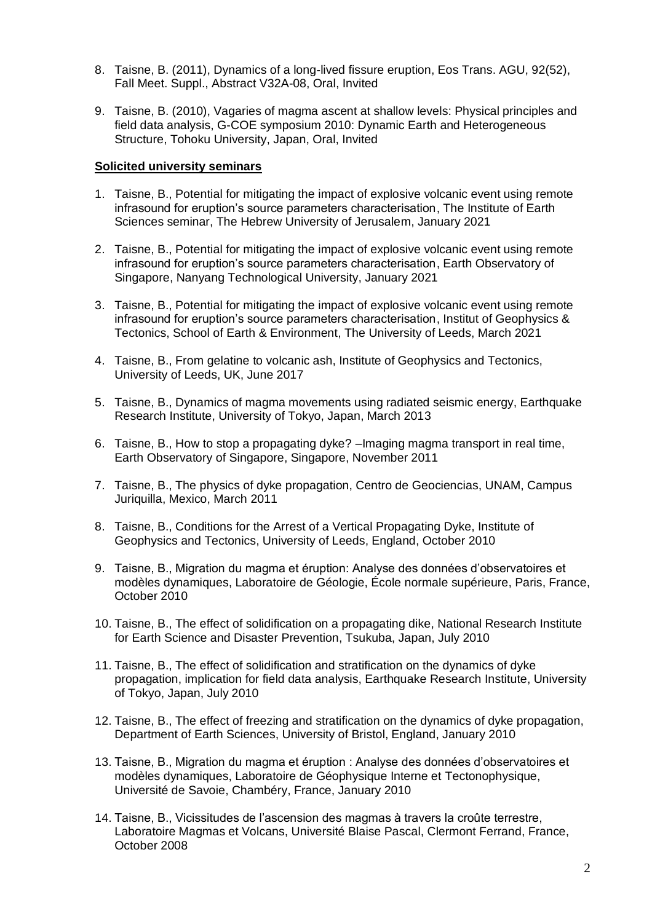- 8. Taisne, B. (2011), Dynamics of a long-lived fissure eruption, Eos Trans. AGU, 92(52), Fall Meet. Suppl., Abstract V32A-08, Oral, Invited
- 9. Taisne, B. (2010), Vagaries of magma ascent at shallow levels: Physical principles and field data analysis, G-COE symposium 2010: Dynamic Earth and Heterogeneous Structure, Tohoku University, Japan, Oral, Invited

#### **Solicited university seminars**

- 1. Taisne, B., Potential for mitigating the impact of explosive volcanic event using remote infrasound for eruption's source parameters characterisation, The Institute of Earth Sciences seminar, The Hebrew University of Jerusalem, January 2021
- 2. Taisne, B., Potential for mitigating the impact of explosive volcanic event using remote infrasound for eruption's source parameters characterisation, Earth Observatory of Singapore, Nanyang Technological University, January 2021
- 3. Taisne, B., Potential for mitigating the impact of explosive volcanic event using remote infrasound for eruption's source parameters characterisation, Institut of Geophysics & Tectonics, School of Earth & Environment, The University of Leeds, March 2021
- 4. Taisne, B., From gelatine to volcanic ash, Institute of Geophysics and Tectonics, University of Leeds, UK, June 2017
- 5. Taisne, B., Dynamics of magma movements using radiated seismic energy, Earthquake Research Institute, University of Tokyo, Japan, March 2013
- 6. Taisne, B., How to stop a propagating dyke? –Imaging magma transport in real time, Earth Observatory of Singapore, Singapore, November 2011
- 7. Taisne, B., The physics of dyke propagation, Centro de Geociencias, UNAM, Campus Juriquilla, Mexico, March 2011
- 8. Taisne, B., Conditions for the Arrest of a Vertical Propagating Dyke, Institute of Geophysics and Tectonics, University of Leeds, England, October 2010
- 9. Taisne, B., Migration du magma et éruption: Analyse des données d'observatoires et modèles dynamiques, Laboratoire de Géologie, École normale supérieure, Paris, France, October 2010
- 10. Taisne, B., The effect of solidification on a propagating dike, National Research Institute for Earth Science and Disaster Prevention, Tsukuba, Japan, July 2010
- 11. Taisne, B., The effect of solidification and stratification on the dynamics of dyke propagation, implication for field data analysis, Earthquake Research Institute, University of Tokyo, Japan, July 2010
- 12. Taisne, B., The effect of freezing and stratification on the dynamics of dyke propagation, Department of Earth Sciences, University of Bristol, England, January 2010
- 13. Taisne, B., Migration du magma et éruption : Analyse des données d'observatoires et modèles dynamiques, Laboratoire de Géophysique Interne et Tectonophysique, Université de Savoie, Chambéry, France, January 2010
- 14. Taisne, B., Vicissitudes de l'ascension des magmas à travers la croûte terrestre, Laboratoire Magmas et Volcans, Université Blaise Pascal, Clermont Ferrand, France, October 2008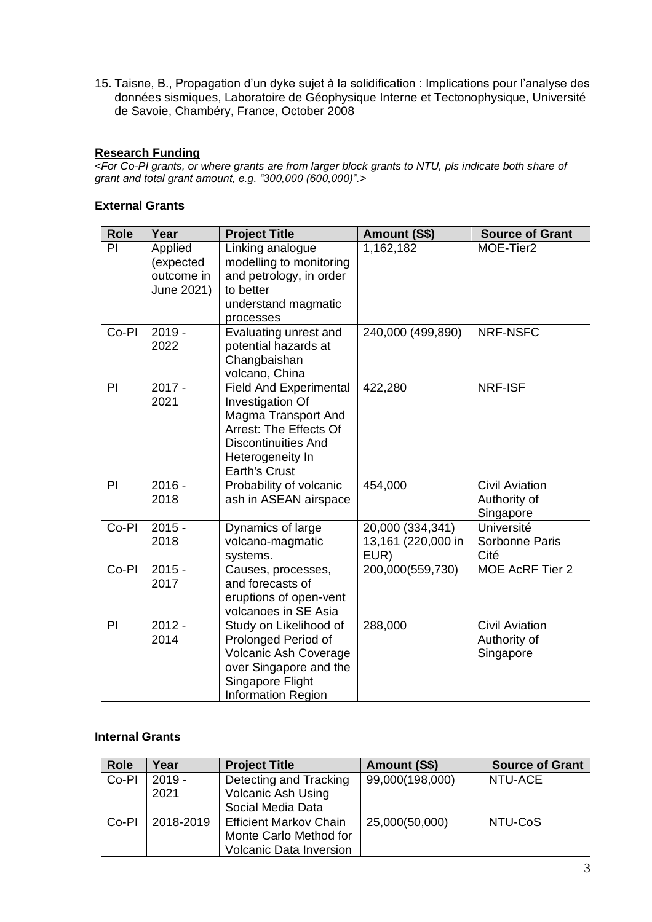15. Taisne, B., Propagation d'un dyke sujet à la solidification : Implications pour l'analyse des données sismiques, Laboratoire de Géophysique Interne et Tectonophysique, Université de Savoie, Chambéry, France, October 2008

#### **Research Funding**

*<For Co-PI grants, or where grants are from larger block grants to NTU, pls indicate both share of grant and total grant amount, e.g. "300,000 (600,000)".>*

#### **External Grants**

| <b>Role</b> | Year                                             | <b>Project Title</b>                                                                                                                                                         | Amount (S\$)                                   | <b>Source of Grant</b>                             |
|-------------|--------------------------------------------------|------------------------------------------------------------------------------------------------------------------------------------------------------------------------------|------------------------------------------------|----------------------------------------------------|
| PI          | Applied<br>(expected<br>outcome in<br>June 2021) | Linking analogue<br>modelling to monitoring<br>and petrology, in order<br>to better<br>understand magmatic<br>processes                                                      | 1,162,182                                      | MOE-Tier2                                          |
| Co-PI       | $2019 -$<br>2022                                 | Evaluating unrest and<br>potential hazards at<br>Changbaishan<br>volcano, China                                                                                              | 240,000 (499,890)                              | NRF-NSFC                                           |
| PI          | $2017 -$<br>2021                                 | <b>Field And Experimental</b><br>Investigation Of<br>Magma Transport And<br>Arrest: The Effects Of<br><b>Discontinuities And</b><br>Heterogeneity In<br><b>Earth's Crust</b> | 422,280                                        | <b>NRF-ISF</b>                                     |
| PI          | $2016 -$<br>2018                                 | Probability of volcanic<br>ash in ASEAN airspace                                                                                                                             | 454,000                                        | <b>Civil Aviation</b><br>Authority of<br>Singapore |
| Co-PI       | $2015 -$<br>2018                                 | Dynamics of large<br>volcano-magmatic<br>systems.                                                                                                                            | 20,000 (334,341)<br>13,161 (220,000 in<br>EUR) | Université<br>Sorbonne Paris<br>Cité               |
| Co-PI       | $2015 -$<br>2017                                 | Causes, processes,<br>and forecasts of<br>eruptions of open-vent<br>volcanoes in SE Asia                                                                                     | 200,000(559,730)                               | MOE AcRF Tier 2                                    |
| PI          | $2012 -$<br>2014                                 | Study on Likelihood of<br>Prolonged Period of<br><b>Volcanic Ash Coverage</b><br>over Singapore and the<br>Singapore Flight<br><b>Information Region</b>                     | 288,000                                        | <b>Civil Aviation</b><br>Authority of<br>Singapore |

## **Internal Grants**

| <b>Role</b> | Year      | <b>Project Title</b>           | Amount (S\$)    | <b>Source of Grant</b> |
|-------------|-----------|--------------------------------|-----------------|------------------------|
| Co-Pl       | $2019 -$  | Detecting and Tracking         | 99,000(198,000) | NTU-ACE                |
|             | 2021      | <b>Volcanic Ash Using</b>      |                 |                        |
|             |           | Social Media Data              |                 |                        |
| Co-PI       | 2018-2019 | <b>Efficient Markov Chain</b>  | 25,000(50,000)  | NTU-CoS                |
|             |           | Monte Carlo Method for         |                 |                        |
|             |           | <b>Volcanic Data Inversion</b> |                 |                        |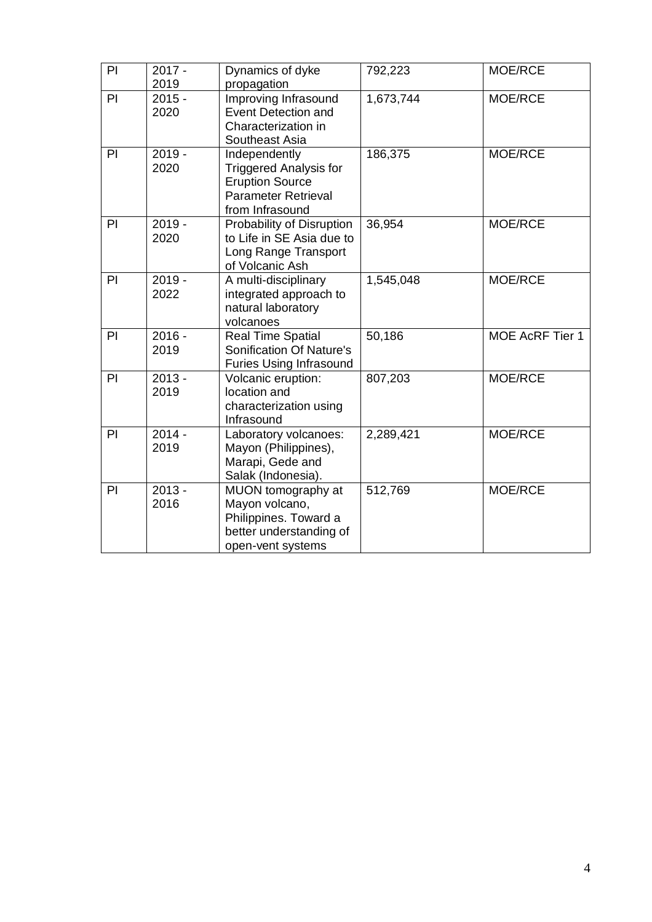| PI | $2017 -$<br>2019                                                       | Dynamics of dyke<br>propagation                                                                                           | 792,223   | MOE/RCE         |
|----|------------------------------------------------------------------------|---------------------------------------------------------------------------------------------------------------------------|-----------|-----------------|
| PI | $2015 -$<br>Improving Infrasound<br>2020<br><b>Event Detection and</b> |                                                                                                                           | 1,673,744 | MOE/RCE         |
|    |                                                                        | Characterization in<br>Southeast Asia                                                                                     |           |                 |
| PI | $2019 -$<br>2020                                                       | Independently<br><b>Triggered Analysis for</b><br><b>Eruption Source</b><br><b>Parameter Retrieval</b><br>from Infrasound | 186,375   | MOE/RCE         |
| PI | $2019 -$<br>2020                                                       | Probability of Disruption<br>to Life in SE Asia due to<br>Long Range Transport<br>of Volcanic Ash                         | 36,954    | MOE/RCE         |
| PI | $2019 -$<br>2022                                                       | A multi-disciplinary<br>integrated approach to<br>natural laboratory<br>volcanoes                                         | 1,545,048 | MOE/RCE         |
| PI | $2016 -$<br>2019                                                       | <b>Real Time Spatial</b><br>Sonification Of Nature's<br><b>Furies Using Infrasound</b>                                    | 50,186    | MOE AcRF Tier 1 |
| PI | $2013 -$<br>2019                                                       | Volcanic eruption:<br>location and<br>characterization using<br>Infrasound                                                | 807,203   | MOE/RCE         |
| PI | $2014 -$<br>2019                                                       | Laboratory volcanoes:<br>Mayon (Philippines),<br>Marapi, Gede and<br>Salak (Indonesia).                                   | 2,289,421 | MOE/RCE         |
| PI | $2013 -$<br>2016                                                       | MUON tomography at<br>Mayon volcano,<br>Philippines. Toward a<br>better understanding of<br>open-vent systems             | 512,769   | MOE/RCE         |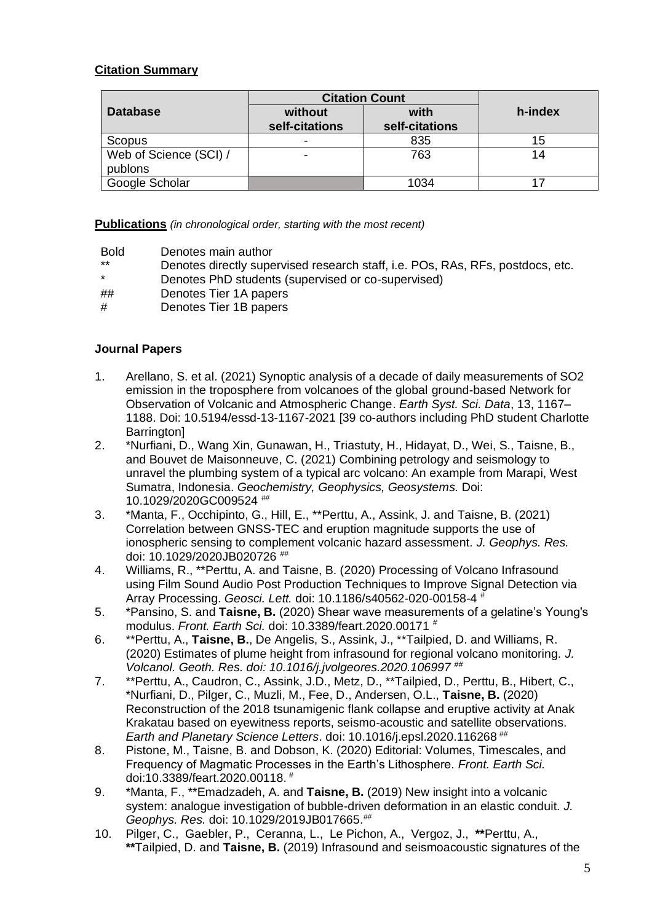## **Citation Summary**

|                        | <b>Citation Count</b>     |                        |         |
|------------------------|---------------------------|------------------------|---------|
| <b>Database</b>        | without<br>self-citations | with<br>self-citations | h-index |
|                        |                           |                        |         |
| Scopus                 | -                         | 835                    | 15      |
| Web of Science (SCI) / |                           | 763                    | 14      |
| publons                |                           |                        |         |
| Google Scholar         |                           | 1034                   |         |

**Publications** *(in chronological order, starting with the most recent)*

Bold Denotes main author

- \*\* Denotes directly supervised research staff, i.e. POs, RAs, RFs, postdocs, etc.
- Denotes PhD students (supervised or co-supervised)
- ## Denotes Tier 1A papers
- # Denotes Tier 1B papers

#### **Journal Papers**

- 1. Arellano, S. et al. (2021) Synoptic analysis of a decade of daily measurements of SO2 emission in the troposphere from volcanoes of the global ground-based Network for Observation of Volcanic and Atmospheric Change. *Earth Syst. Sci. Data*, 13, 1167– 1188. Doi: 10.5194/essd-13-1167-2021 [39 co-authors including PhD student Charlotte **Barrington1**
- 2. \*Nurfiani, D., Wang Xin, Gunawan, H., Triastuty, H., Hidayat, D., Wei, S., Taisne, B., and Bouvet de Maisonneuve, C. (2021) Combining petrology and seismology to unravel the plumbing system of a typical arc volcano: An example from Marapi, West Sumatra, Indonesia. *Geochemistry, Geophysics, Geosystems.* Doi: 10.1029/2020GC009524 ##
- 3. \*Manta, F., Occhipinto, G., Hill, E., \*\*Perttu, A., Assink, J. and Taisne, B. (2021) Correlation between GNSS-TEC and eruption magnitude supports the use of ionospheric sensing to complement volcanic hazard assessment. *J. Geophys. Res.* doi: 10.1029/2020JB020726 ##
- 4. Williams, R., \*\*Perttu, A. and Taisne, B. (2020) Processing of Volcano Infrasound using Film Sound Audio Post Production Techniques to Improve Signal Detection via Array Processing. *Geosci. Lett.* doi: 10.1186/s40562-020-00158-4 #
- 5. \*Pansino, S. and **Taisne, B.** (2020) Shear wave measurements of a gelatine's Young's modulus. *Front. Earth Sci.* doi: 10.3389/feart.2020.00171 #
- 6. \*\*Perttu, A., **Taisne, B.**, De Angelis, S., Assink, J., \*\*Tailpied, D. and Williams, R. (2020) Estimates of plume height from infrasound for regional volcano monitoring. *J. Volcanol. Geoth. Res. doi: 10.1016/j.jvolgeores.2020.106997* ##
- 7. \*\*Perttu, A., Caudron, C., Assink, J.D., Metz, D., \*\*Tailpied, D., Perttu, B., Hibert, C., \*Nurfiani, D., Pilger, C., Muzli, M., Fee, D., Andersen, O.L., **Taisne, B.** (2020) Reconstruction of the 2018 tsunamigenic flank collapse and eruptive activity at Anak Krakatau based on eyewitness reports, seismo-acoustic and satellite observations. *Earth and Planetary Science Letters*. doi: 10.1016/j.epsl.2020.116268 ##
- 8. Pistone, M., Taisne, B. and Dobson, K. (2020) Editorial: Volumes, Timescales, and Frequency of Magmatic Processes in the Earth's Lithosphere. *Front. Earth Sci.* doi:10.3389/feart.2020.00118. #
- 9. \*Manta, F., \*\*Emadzadeh, A. and **Taisne, B.** (2019) New insight into a volcanic system: analogue investigation of bubble-driven deformation in an elastic conduit. *J. Geophys. Res.* doi: 10.1029/2019JB017665.##
- 10. Pilger, C., Gaebler, P., Ceranna, L., Le Pichon, A., Vergoz, J., **\*\***Perttu, A., **\*\***Tailpied, D. and **Taisne, B.** (2019) Infrasound and seismoacoustic signatures of the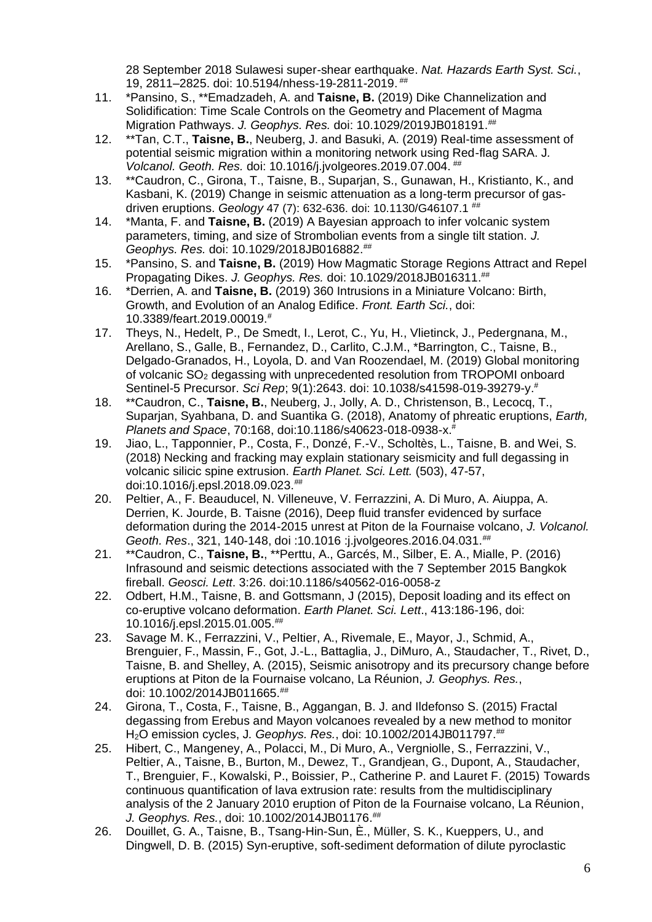28 September 2018 Sulawesi super-shear earthquake. *Nat. Hazards Earth Syst. Sci.*, 19, 2811–2825. doi: 10.5194/nhess-19-2811-2019. ##

- 11. \*Pansino, S., \*\*Emadzadeh, A. and **Taisne, B.** (2019) Dike Channelization and Solidification: Time Scale Controls on the Geometry and Placement of Magma Migration Pathways. *J. Geophys. Res.* doi: 10.1029/2019JB018191.##
- 12. \*\*Tan, C.T., **Taisne, B.**, Neuberg, J. and Basuki, A. (2019) Real-time assessment of potential seismic migration within a monitoring network using Red-flag SARA. J*. Volcanol. Geoth. Res.* doi: 10.1016/j.jvolgeores.2019.07.004. ##
- 13. \*\*Caudron, C., Girona, T., Taisne, B., Suparjan, S., Gunawan, H., Kristianto, K., and Kasbani, K. (2019) Change in seismic attenuation as a long-term precursor of gasdriven eruptions. *Geology* 47 (7): 632-636. doi: 10.1130/G46107.1<sup>##</sup>
- 14. \*Manta, F. and **Taisne, B.** (2019) A Bayesian approach to infer volcanic system parameters, timing, and size of Strombolian events from a single tilt station. *J. Geophys. Res.* doi: 10.1029/2018JB016882.##
- 15. \*Pansino, S. and **Taisne, B.** (2019) How Magmatic Storage Regions Attract and Repel Propagating Dikes. *J. Geophys. Res.* doi: 10.1029/2018JB016311.##
- 16. \*Derrien, A. and **Taisne, B.** (2019) 360 Intrusions in a Miniature Volcano: Birth, Growth, and Evolution of an Analog Edifice. *Front. Earth Sci.*, doi: 10.3389/feart.2019.00019.#
- 17. Theys, N., Hedelt, P., De Smedt, I., Lerot, C., Yu, H., Vlietinck, J., Pedergnana, M., Arellano, S., Galle, B., Fernandez, D., Carlito, C.J.M., \*Barrington, C., Taisne, B., Delgado-Granados, H., Loyola, D. and Van Roozendael, M. (2019) Global monitoring of volcanic SO<sub>2</sub> degassing with unprecedented resolution from TROPOMI onboard Sentinel-5 Precursor. *Sci Rep*; 9(1):2643. doi: 10.1038/s41598-019-39279-y.#
- 18. \*\*Caudron, C., **Taisne, B.**, Neuberg, J., Jolly, A. D., Christenson, B., Lecocq, T., Suparjan, Syahbana, D. and Suantika G. (2018), Anatomy of phreatic eruptions, *Earth, Planets and Space*, 70:168, doi:10.1186/s40623-018-0938-x.#
- 19. Jiao, L., Tapponnier, P., Costa, F., Donzé, F.-V., Scholtès, L., Taisne, B. and Wei, S. (2018) Necking and fracking may explain stationary seismicity and full degassing in volcanic silicic spine extrusion. *Earth Planet. Sci. Lett.* (503), 47-57, doi:10.1016/j.epsl.2018.09.023.##
- 20. Peltier, A., F. Beauducel, N. Villeneuve, V. Ferrazzini, A. Di Muro, A. Aiuppa, A. Derrien, K. Jourde, B. Taisne (2016), Deep fluid transfer evidenced by surface deformation during the 2014-2015 unrest at Piton de la Fournaise volcano, *J. Volcanol. Geoth. Res*., 321, 140-148, doi :10.1016 :j.jvolgeores.2016.04.031.##
- 21. \*\*Caudron, C., **Taisne, B.**, \*\*Perttu, A., Garcés, M., Silber, E. A., Mialle, P. (2016) Infrasound and seismic detections associated with the 7 September 2015 Bangkok fireball. *Geosci. Lett*. 3:26. doi:10.1186/s40562-016-0058-z
- 22. Odbert, H.M., Taisne, B. and Gottsmann, J (2015), Deposit loading and its effect on co-eruptive volcano deformation. *Earth Planet. Sci. Lett*., 413:186-196, doi: 10.1016/j.epsl.2015.01.005.##
- 23. Savage M. K., Ferrazzini, V., Peltier, A., Rivemale, E., Mayor, J., Schmid, A., Brenguier, F., Massin, F., Got, J.-L., Battaglia, J., DiMuro, A., Staudacher, T., Rivet, D., Taisne, B. and Shelley, A. (2015), Seismic anisotropy and its precursory change before eruptions at Piton de la Fournaise volcano, La Réunion, *J. Geophys. Res.*, doi: 10.1002/2014JB011665.##
- 24. Girona, T., Costa, F., Taisne, B., Aggangan, B. J. and Ildefonso S. (2015) Fractal degassing from Erebus and Mayon volcanoes revealed by a new method to monitor H2O emission cycles, J*. Geophys. Res.*, doi: 10.1002/2014JB011797.##
- 25. Hibert, C., Mangeney, A., Polacci, M., Di Muro, A., Vergniolle, S., Ferrazzini, V., Peltier, A., Taisne, B., Burton, M., Dewez, T., Grandjean, G., Dupont, A., Staudacher, T., Brenguier, F., Kowalski, P., Boissier, P., Catherine P. and Lauret F. (2015) Towards continuous quantification of lava extrusion rate: results from the multidisciplinary analysis of the 2 January 2010 eruption of Piton de la Fournaise volcano, La Réunion, *J. Geophys. Res.*, doi: 10.1002/2014JB01176.##
- 26. Douillet, G. A., Taisne, B., Tsang-Hin-Sun, È., Müller, S. K., Kueppers, U., and Dingwell, D. B. (2015) Syn-eruptive, soft-sediment deformation of dilute pyroclastic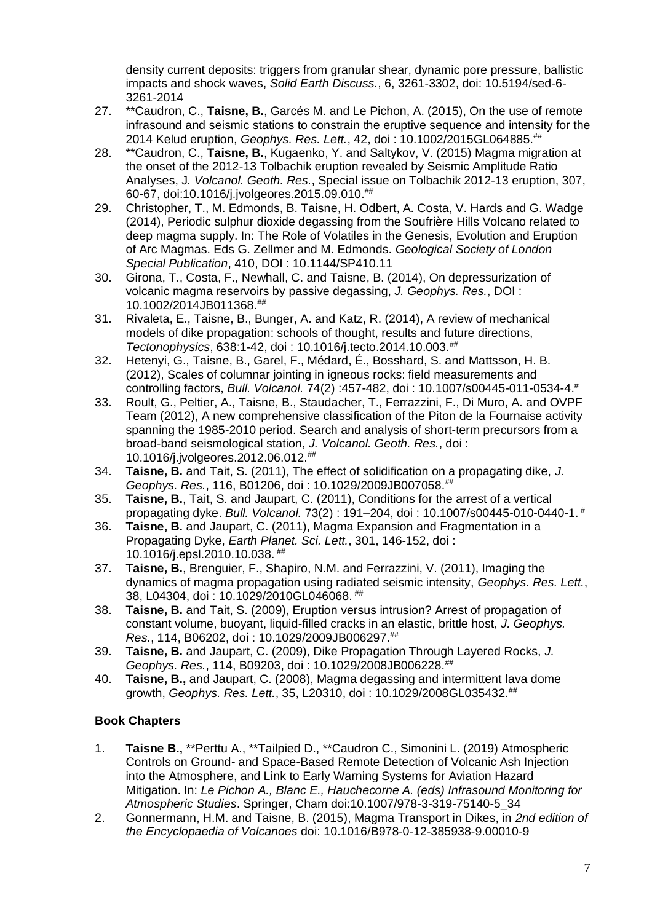density current deposits: triggers from granular shear, dynamic pore pressure, ballistic impacts and shock waves, *Solid Earth Discuss.*, 6, 3261-3302, doi: 10.5194/sed-6- 3261-2014

- 27. \*\*Caudron, C., **Taisne, B.**, Garcés M. and Le Pichon, A. (2015), On the use of remote infrasound and seismic stations to constrain the eruptive sequence and intensity for the 2014 Kelud eruption, *Geophys. Res. Lett.*, 42, doi : 10.1002/2015GL064885.##
- 28. \*\*Caudron, C., **Taisne, B.**, Kugaenko, Y. and Saltykov, V. (2015) Magma migration at the onset of the 2012-13 Tolbachik eruption revealed by Seismic Amplitude Ratio Analyses, J*. Volcanol. Geoth. Res.*, Special issue on Tolbachik 2012-13 eruption, 307, 60-67, doi:10.1016/j.jvolgeores.2015.09.010.##
- 29. Christopher, T., M. Edmonds, B. Taisne, H. Odbert, A. Costa, V. Hards and G. Wadge (2014), Periodic sulphur dioxide degassing from the Soufrière Hills Volcano related to deep magma supply. In: The Role of Volatiles in the Genesis, Evolution and Eruption of Arc Magmas. Eds G. Zellmer and M. Edmonds. *Geological Society of London Special Publication*, 410, DOI : 10.1144/SP410.11
- 30. Girona, T., Costa, F., Newhall, C. and Taisne, B. (2014), On depressurization of volcanic magma reservoirs by passive degassing, *J. Geophys. Res.*, DOI : 10.1002/2014JB011368.##
- 31. Rivaleta, E., Taisne, B., Bunger, A. and Katz, R. (2014), A review of mechanical models of dike propagation: schools of thought, results and future directions, *Tectonophysics*, 638:1-42, doi : 10.1016/j.tecto.2014.10.003.##
- 32. Hetenyi, G., Taisne, B., Garel, F., Médard, É., Bosshard, S. and Mattsson, H. B. (2012), Scales of columnar jointing in igneous rocks: field measurements and controlling factors, *Bull. Volcanol.* 74(2) :457-482, doi : 10.1007/s00445-011-0534-4.#
- 33. Roult, G., Peltier, A., Taisne, B., Staudacher, T., Ferrazzini, F., Di Muro, A. and OVPF Team (2012), A new comprehensive classification of the Piton de la Fournaise activity spanning the 1985-2010 period. Search and analysis of short-term precursors from a broad-band seismological station, *J. Volcanol. Geoth. Res.*, doi : 10.1016/j.jvolgeores.2012.06.012.##
- 34. **Taisne, B.** and Tait, S. (2011), The effect of solidification on a propagating dike, *J. Geophys. Res.*, 116, B01206, doi : 10.1029/2009JB007058.##
- 35. **Taisne, B.**, Tait, S. and Jaupart, C. (2011), Conditions for the arrest of a vertical propagating dyke. *Bull. Volcanol.* 73(2) : 191–204, doi : 10.1007/s00445-010-0440-1. #
- 36. **Taisne, B.** and Jaupart, C. (2011), Magma Expansion and Fragmentation in a Propagating Dyke, *Earth Planet. Sci. Lett.*, 301, 146-152, doi : 10.1016/j.epsl.2010.10.038. ##
- 37. **Taisne, B.**, Brenguier, F., Shapiro, N.M. and Ferrazzini, V. (2011), Imaging the dynamics of magma propagation using radiated seismic intensity, *Geophys. Res. Lett.*, 38, L04304, doi : 10.1029/2010GL046068. ##
- 38. **Taisne, B.** and Tait, S. (2009), Eruption versus intrusion? Arrest of propagation of constant volume, buoyant, liquid-filled cracks in an elastic, brittle host, *J. Geophys. Res.*, 114, B06202, doi : 10.1029/2009JB006297.##
- 39. **Taisne, B.** and Jaupart, C. (2009), Dike Propagation Through Layered Rocks, *J. Geophys. Res.*, 114, B09203, doi : 10.1029/2008JB006228.##
- 40. **Taisne, B.,** and Jaupart, C. (2008), Magma degassing and intermittent lava dome growth, *Geophys. Res. Lett.*, 35, L20310, doi : 10.1029/2008GL035432.##

## **Book Chapters**

- 1. **Taisne B.,** \*\*Perttu A., \*\*Tailpied D., \*\*Caudron C., Simonini L. (2019) Atmospheric Controls on Ground- and Space-Based Remote Detection of Volcanic Ash Injection into the Atmosphere, and Link to Early Warning Systems for Aviation Hazard Mitigation. In: *Le Pichon A., Blanc E., Hauchecorne A. (eds) Infrasound Monitoring for Atmospheric Studies*. Springer, Cham doi:10.1007/978-3-319-75140-5\_34
- 2. Gonnermann, H.M. and Taisne, B. (2015), Magma Transport in Dikes, in *2nd edition of the Encyclopaedia of Volcanoes* doi: 10.1016/B978-0-12-385938-9.00010-9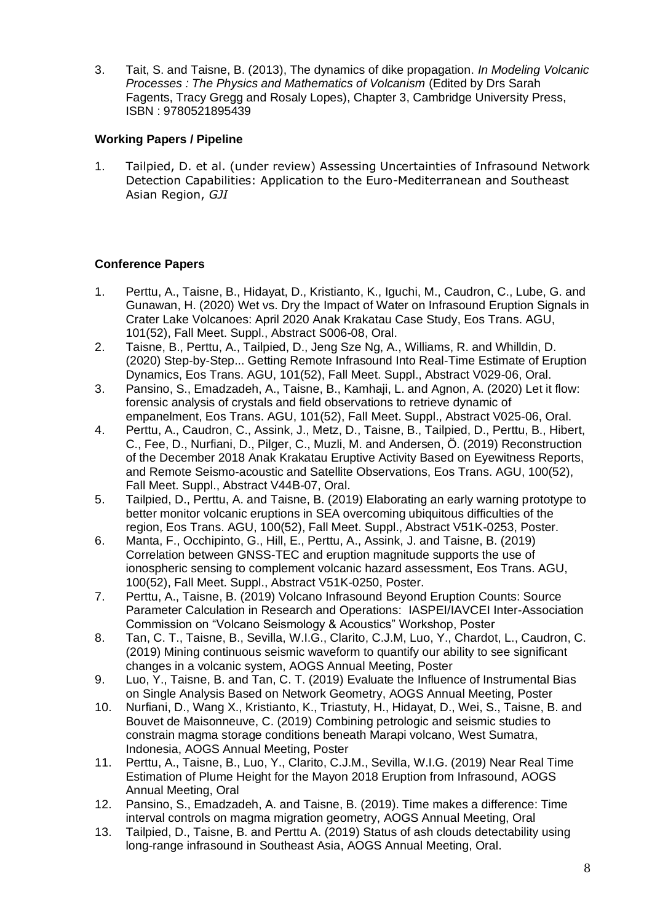3. Tait, S. and Taisne, B. (2013), The dynamics of dike propagation. *In Modeling Volcanic Processes : The Physics and Mathematics of Volcanism* (Edited by Drs Sarah Fagents, Tracy Gregg and Rosaly Lopes), Chapter 3, Cambridge University Press, ISBN : 9780521895439

## **Working Papers / Pipeline**

1. Tailpied, D. et al. (under review) Assessing Uncertainties of Infrasound Network Detection Capabilities: Application to the Euro-Mediterranean and Southeast Asian Region, *GJI*

## **Conference Papers**

- 1. Perttu, A., Taisne, B., Hidayat, D., Kristianto, K., Iguchi, M., Caudron, C., Lube, G. and Gunawan, H. (2020) Wet vs. Dry the Impact of Water on Infrasound Eruption Signals in Crater Lake Volcanoes: April 2020 Anak Krakatau Case Study, Eos Trans. AGU, 101(52), Fall Meet. Suppl., Abstract S006-08, Oral.
- 2. Taisne, B., Perttu, A., Tailpied, D., Jeng Sze Ng, A., Williams, R. and Whilldin, D. (2020) Step-by-Step... Getting Remote Infrasound Into Real-Time Estimate of Eruption Dynamics, Eos Trans. AGU, 101(52), Fall Meet. Suppl., Abstract V029-06, Oral.
- 3. Pansino, S., Emadzadeh, A., Taisne, B., Kamhaji, L. and Agnon, A. (2020) Let it flow: forensic analysis of crystals and field observations to retrieve dynamic of empanelment, Eos Trans. AGU, 101(52), Fall Meet. Suppl., Abstract V025-06, Oral.
- 4. Perttu, A., Caudron, C., Assink, J., Metz, D., Taisne, B., Tailpied, D., Perttu, B., Hibert, C., Fee, D., Nurfiani, D., Pilger, C., Muzli, M. and Andersen, Ö. (2019) Reconstruction of the December 2018 Anak Krakatau Eruptive Activity Based on Eyewitness Reports, and Remote Seismo-acoustic and Satellite Observations, Eos Trans. AGU, 100(52), Fall Meet. Suppl., Abstract V44B-07, Oral.
- 5. Tailpied, D., Perttu, A. and Taisne, B. (2019) Elaborating an early warning prototype to better monitor volcanic eruptions in SEA overcoming ubiquitous difficulties of the region, Eos Trans. AGU, 100(52), Fall Meet. Suppl., Abstract V51K-0253, Poster.
- 6. Manta, F., Occhipinto, G., Hill, E., Perttu, A., Assink, J. and Taisne, B. (2019) Correlation between GNSS-TEC and eruption magnitude supports the use of ionospheric sensing to complement volcanic hazard assessment, Eos Trans. AGU, 100(52), Fall Meet. Suppl., Abstract V51K-0250, Poster.
- 7. Perttu, A., Taisne, B. (2019) Volcano Infrasound Beyond Eruption Counts: Source Parameter Calculation in Research and Operations: IASPEI/IAVCEI Inter-Association Commission on "Volcano Seismology & Acoustics" Workshop, Poster
- 8. Tan, C. T., Taisne, B., Sevilla, W.I.G., Clarito, C.J.M, Luo, Y., Chardot, L., Caudron, C. (2019) Mining continuous seismic waveform to quantify our ability to see significant changes in a volcanic system, AOGS Annual Meeting, Poster
- 9. Luo, Y., Taisne, B. and Tan, C. T. (2019) Evaluate the Influence of Instrumental Bias on Single Analysis Based on Network Geometry, AOGS Annual Meeting, Poster
- 10. Nurfiani, D., Wang X., Kristianto, K., Triastuty, H., Hidayat, D., Wei, S., Taisne, B. and Bouvet de Maisonneuve, C. (2019) Combining petrologic and seismic studies to constrain magma storage conditions beneath Marapi volcano, West Sumatra, Indonesia, AOGS Annual Meeting, Poster
- 11. Perttu, A., Taisne, B., Luo, Y., Clarito, C.J.M., Sevilla, W.I.G. (2019) Near Real Time Estimation of Plume Height for the Mayon 2018 Eruption from Infrasound, AOGS Annual Meeting, Oral
- 12. Pansino, S., Emadzadeh, A. and Taisne, B. (2019). Time makes a difference: Time interval controls on magma migration geometry, AOGS Annual Meeting, Oral
- 13. Tailpied, D., Taisne, B. and Perttu A. (2019) Status of ash clouds detectability using long-range infrasound in Southeast Asia, AOGS Annual Meeting, Oral.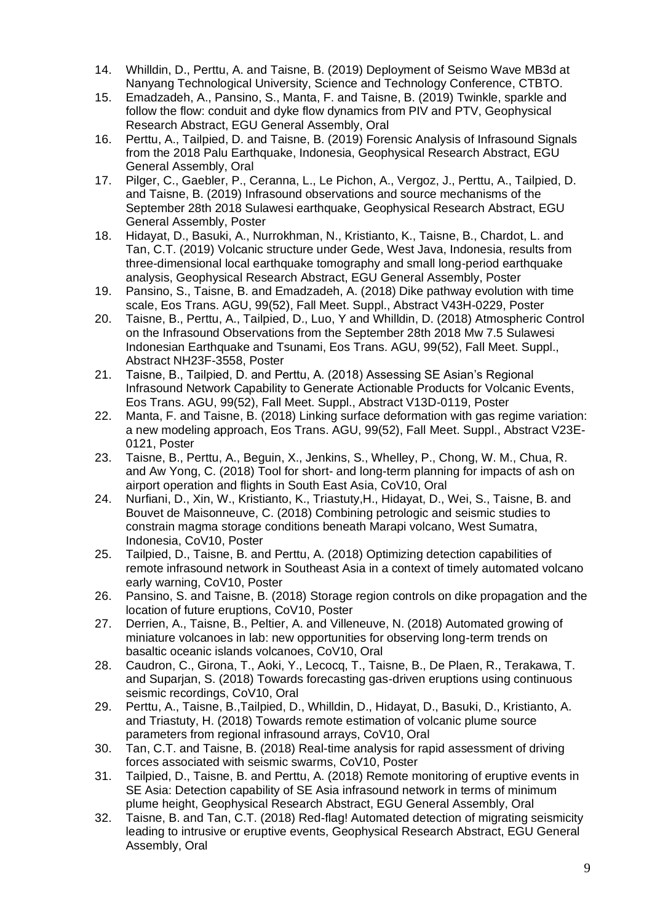- 14. Whilldin, D., Perttu, A. and Taisne, B. (2019) Deployment of Seismo Wave MB3d at Nanyang Technological University, Science and Technology Conference, CTBTO.
- 15. Emadzadeh, A., Pansino, S., Manta, F. and Taisne, B. (2019) Twinkle, sparkle and follow the flow: conduit and dyke flow dynamics from PIV and PTV, Geophysical Research Abstract, EGU General Assembly, Oral
- 16. Perttu, A., Tailpied, D. and Taisne, B. (2019) Forensic Analysis of Infrasound Signals from the 2018 Palu Earthquake, Indonesia, Geophysical Research Abstract, EGU General Assembly, Oral
- 17. Pilger, C., Gaebler, P., Ceranna, L., Le Pichon, A., Vergoz, J., Perttu, A., Tailpied, D. and Taisne, B. (2019) Infrasound observations and source mechanisms of the September 28th 2018 Sulawesi earthquake, Geophysical Research Abstract, EGU General Assembly, Poster
- 18. Hidayat, D., Basuki, A., Nurrokhman, N., Kristianto, K., Taisne, B., Chardot, L. and Tan, C.T. (2019) Volcanic structure under Gede, West Java, Indonesia, results from three-dimensional local earthquake tomography and small long-period earthquake analysis, Geophysical Research Abstract, EGU General Assembly, Poster
- 19. Pansino, S., Taisne, B. and Emadzadeh, A. (2018) Dike pathway evolution with time scale, Eos Trans. AGU, 99(52), Fall Meet. Suppl., Abstract V43H-0229, Poster
- 20. Taisne, B., Perttu, A., Tailpied, D., Luo, Y and Whilldin, D. (2018) Atmospheric Control on the Infrasound Observations from the September 28th 2018 Mw 7.5 Sulawesi Indonesian Earthquake and Tsunami, Eos Trans. AGU, 99(52), Fall Meet. Suppl., Abstract NH23F-3558, Poster
- 21. Taisne, B., Tailpied, D. and Perttu, A. (2018) Assessing SE Asian's Regional Infrasound Network Capability to Generate Actionable Products for Volcanic Events, Eos Trans. AGU, 99(52), Fall Meet. Suppl., Abstract V13D-0119, Poster
- 22. Manta, F. and Taisne, B. (2018) Linking surface deformation with gas regime variation: a new modeling approach, Eos Trans. AGU, 99(52), Fall Meet. Suppl., Abstract V23E-0121, Poster
- 23. Taisne, B., Perttu, A., Beguin, X., Jenkins, S., Whelley, P., Chong, W. M., Chua, R. and Aw Yong, C. (2018) Tool for short- and long-term planning for impacts of ash on airport operation and flights in South East Asia, CoV10, Oral
- 24. Nurfiani, D., Xin, W., Kristianto, K., Triastuty,H., Hidayat, D., Wei, S., Taisne, B. and Bouvet de Maisonneuve, C. (2018) Combining petrologic and seismic studies to constrain magma storage conditions beneath Marapi volcano, West Sumatra, Indonesia, CoV10, Poster
- 25. Tailpied, D., Taisne, B. and Perttu, A. (2018) Optimizing detection capabilities of remote infrasound network in Southeast Asia in a context of timely automated volcano early warning, CoV10, Poster
- 26. Pansino, S. and Taisne, B. (2018) Storage region controls on dike propagation and the location of future eruptions, CoV10, Poster
- 27. Derrien, A., Taisne, B., Peltier, A. and Villeneuve, N. (2018) Automated growing of miniature volcanoes in lab: new opportunities for observing long-term trends on basaltic oceanic islands volcanoes, CoV10, Oral
- 28. Caudron, C., Girona, T., Aoki, Y., Lecocq, T., Taisne, B., De Plaen, R., Terakawa, T. and Suparjan, S. (2018) Towards forecasting gas-driven eruptions using continuous seismic recordings, CoV10, Oral
- 29. Perttu, A., Taisne, B.,Tailpied, D., Whilldin, D., Hidayat, D., Basuki, D., Kristianto, A. and Triastuty, H. (2018) Towards remote estimation of volcanic plume source parameters from regional infrasound arrays, CoV10, Oral
- 30. Tan, C.T. and Taisne, B. (2018) Real-time analysis for rapid assessment of driving forces associated with seismic swarms, CoV10, Poster
- 31. Tailpied, D., Taisne, B. and Perttu, A. (2018) Remote monitoring of eruptive events in SE Asia: Detection capability of SE Asia infrasound network in terms of minimum plume height, Geophysical Research Abstract, EGU General Assembly, Oral
- 32. Taisne, B. and Tan, C.T. (2018) Red-flag! Automated detection of migrating seismicity leading to intrusive or eruptive events, Geophysical Research Abstract, EGU General Assembly, Oral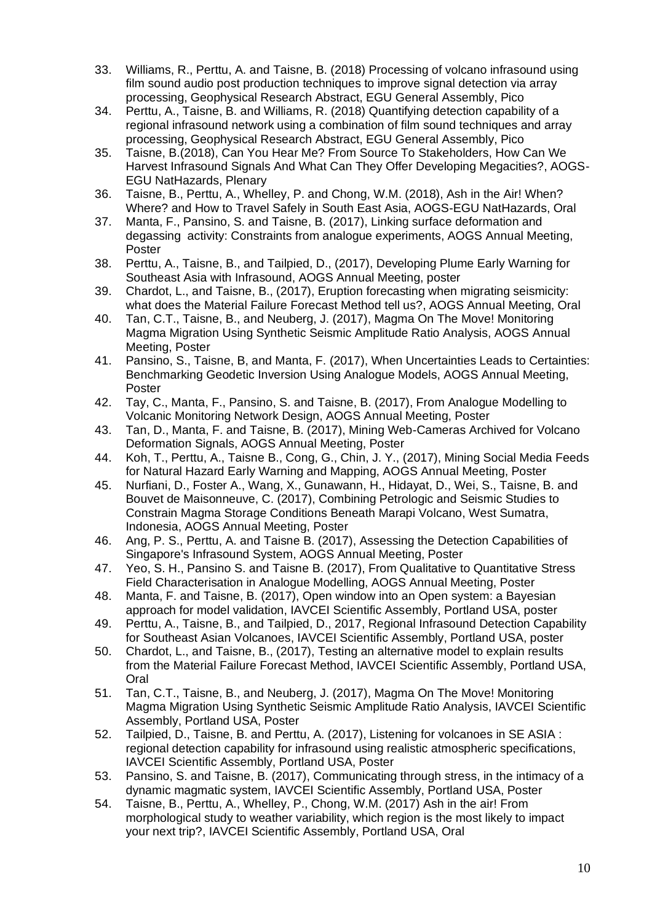- 33. Williams, R., Perttu, A. and Taisne, B. (2018) Processing of volcano infrasound using film sound audio post production techniques to improve signal detection via array processing, Geophysical Research Abstract, EGU General Assembly, Pico
- 34. Perttu, A., Taisne, B. and Williams, R. (2018) Quantifying detection capability of a regional infrasound network using a combination of film sound techniques and array processing, Geophysical Research Abstract, EGU General Assembly, Pico
- 35. Taisne, B.(2018), Can You Hear Me? From Source To Stakeholders, How Can We Harvest Infrasound Signals And What Can They Offer Developing Megacities?, AOGS-EGU NatHazards, Plenary
- 36. Taisne, B., Perttu, A., Whelley, P. and Chong, W.M. (2018), Ash in the Air! When? Where? and How to Travel Safely in South East Asia, AOGS-EGU NatHazards, Oral
- 37. Manta, F., Pansino, S. and Taisne, B. (2017), Linking surface deformation and degassing activity: Constraints from analogue experiments, AOGS Annual Meeting, Poster
- 38. Perttu, A., Taisne, B., and Tailpied, D., (2017), Developing Plume Early Warning for Southeast Asia with Infrasound, AOGS Annual Meeting, poster
- 39. Chardot, L., and Taisne, B., (2017), Eruption forecasting when migrating seismicity: what does the Material Failure Forecast Method tell us?, AOGS Annual Meeting, Oral
- 40. Tan, C.T., Taisne, B., and Neuberg, J. (2017), Magma On The Move! Monitoring Magma Migration Using Synthetic Seismic Amplitude Ratio Analysis, AOGS Annual Meeting, Poster
- 41. Pansino, S., Taisne, B, and Manta, F. (2017), When Uncertainties Leads to Certainties: Benchmarking Geodetic Inversion Using Analogue Models, AOGS Annual Meeting, Poster
- 42. Tay, C., Manta, F., Pansino, S. and Taisne, B. (2017), From Analogue Modelling to Volcanic Monitoring Network Design, AOGS Annual Meeting, Poster
- 43. Tan, D., Manta, F. and Taisne, B. (2017), Mining Web-Cameras Archived for Volcano Deformation Signals, AOGS Annual Meeting, Poster
- 44. Koh, T., Perttu, A., Taisne B., Cong, G., Chin, J. Y., (2017), Mining Social Media Feeds for Natural Hazard Early Warning and Mapping, AOGS Annual Meeting, Poster
- 45. Nurfiani, D., Foster A., Wang, X., Gunawann, H., Hidayat, D., Wei, S., Taisne, B. and Bouvet de Maisonneuve, C. (2017), Combining Petrologic and Seismic Studies to Constrain Magma Storage Conditions Beneath Marapi Volcano, West Sumatra, Indonesia, AOGS Annual Meeting, Poster
- 46. Ang, P. S., Perttu, A. and Taisne B. (2017), Assessing the Detection Capabilities of Singapore's Infrasound System, AOGS Annual Meeting, Poster
- 47. Yeo, S. H., Pansino S. and Taisne B. (2017), From Qualitative to Quantitative Stress Field Characterisation in Analogue Modelling, AOGS Annual Meeting, Poster
- 48. Manta, F. and Taisne, B. (2017), Open window into an Open system: a Bayesian approach for model validation, IAVCEI Scientific Assembly, Portland USA, poster
- 49. Perttu, A., Taisne, B., and Tailpied, D., 2017, Regional Infrasound Detection Capability for Southeast Asian Volcanoes, IAVCEI Scientific Assembly, Portland USA, poster
- 50. Chardot, L., and Taisne, B., (2017), Testing an alternative model to explain results from the Material Failure Forecast Method, IAVCEI Scientific Assembly, Portland USA, Oral
- 51. Tan, C.T., Taisne, B., and Neuberg, J. (2017), Magma On The Move! Monitoring Magma Migration Using Synthetic Seismic Amplitude Ratio Analysis, IAVCEI Scientific Assembly, Portland USA, Poster
- 52. Tailpied, D., Taisne, B. and Perttu, A. (2017), Listening for volcanoes in SE ASIA : regional detection capability for infrasound using realistic atmospheric specifications, IAVCEI Scientific Assembly, Portland USA, Poster
- 53. Pansino, S. and Taisne, B. (2017), Communicating through stress, in the intimacy of a dynamic magmatic system, IAVCEI Scientific Assembly, Portland USA, Poster
- 54. Taisne, B., Perttu, A., Whelley, P., Chong, W.M. (2017) Ash in the air! From morphological study to weather variability, which region is the most likely to impact your next trip?, IAVCEI Scientific Assembly, Portland USA, Oral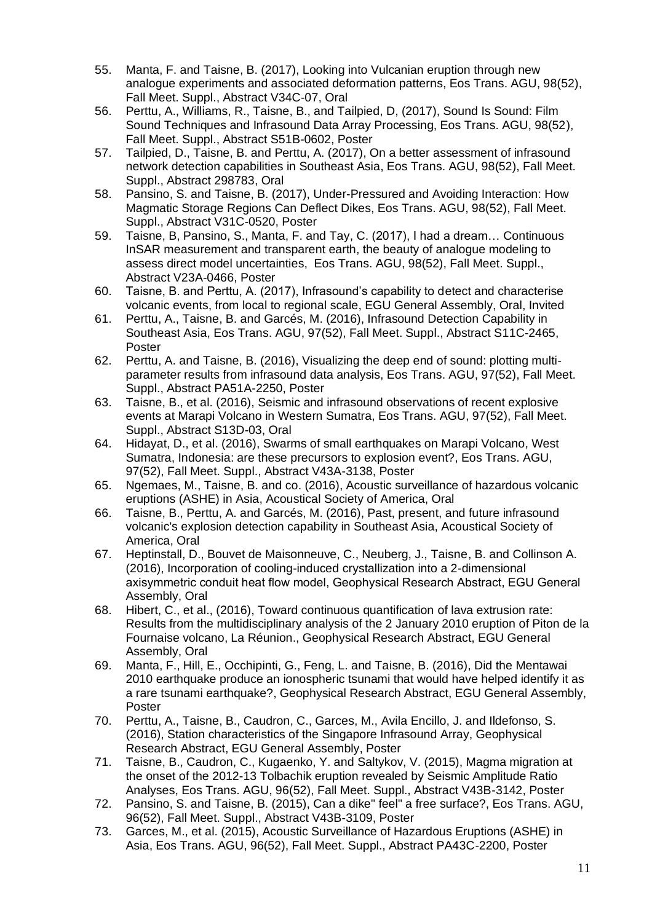- 55. Manta, F. and Taisne, B. (2017), Looking into Vulcanian eruption through new analogue experiments and associated deformation patterns, Eos Trans. AGU, 98(52), Fall Meet. Suppl., Abstract V34C-07, Oral
- 56. Perttu, A., Williams, R., Taisne, B., and Tailpied, D, (2017), Sound Is Sound: Film Sound Techniques and Infrasound Data Array Processing, Eos Trans. AGU, 98(52), Fall Meet. Suppl., Abstract S51B-0602, Poster
- 57. Tailpied, D., Taisne, B. and Perttu, A. (2017), On a better assessment of infrasound network detection capabilities in Southeast Asia, Eos Trans. AGU, 98(52), Fall Meet. Suppl., Abstract 298783, Oral
- 58. Pansino, S. and Taisne, B. (2017), Under-Pressured and Avoiding Interaction: How Magmatic Storage Regions Can Deflect Dikes, Eos Trans. AGU, 98(52), Fall Meet. Suppl., Abstract V31C-0520, Poster
- 59. Taisne, B, Pansino, S., Manta, F. and Tay, C. (2017), I had a dream… Continuous InSAR measurement and transparent earth, the beauty of analogue modeling to assess direct model uncertainties, Eos Trans. AGU, 98(52), Fall Meet. Suppl., Abstract V23A-0466, Poster
- 60. Taisne, B. and Perttu, A. (2017), Infrasound's capability to detect and characterise volcanic events, from local to regional scale, EGU General Assembly, Oral, Invited
- 61. Perttu, A., Taisne, B. and Garcés, M. (2016), Infrasound Detection Capability in Southeast Asia, Eos Trans. AGU, 97(52), Fall Meet. Suppl., Abstract S11C-2465, Poster
- 62. Perttu, A. and Taisne, B. (2016), Visualizing the deep end of sound: plotting multiparameter results from infrasound data analysis, Eos Trans. AGU, 97(52), Fall Meet. Suppl., Abstract PA51A-2250, Poster
- 63. Taisne, B., et al. (2016), Seismic and infrasound observations of recent explosive events at Marapi Volcano in Western Sumatra, Eos Trans. AGU, 97(52), Fall Meet. Suppl., Abstract S13D-03, Oral
- 64. Hidayat, D., et al. (2016), Swarms of small earthquakes on Marapi Volcano, West Sumatra, Indonesia: are these precursors to explosion event?, Eos Trans. AGU, 97(52), Fall Meet. Suppl., Abstract V43A-3138, Poster
- 65. Ngemaes, M., Taisne, B. and co. (2016), Acoustic surveillance of hazardous volcanic eruptions (ASHE) in Asia, Acoustical Society of America, Oral
- 66. Taisne, B., Perttu, A. and Garcés, M. (2016), Past, present, and future infrasound volcanic's explosion detection capability in Southeast Asia, Acoustical Society of America, Oral
- 67. Heptinstall, D., Bouvet de Maisonneuve, C., Neuberg, J., Taisne, B. and Collinson A. (2016), Incorporation of cooling-induced crystallization into a 2-dimensional axisymmetric conduit heat flow model, Geophysical Research Abstract, EGU General Assembly, Oral
- 68. Hibert, C., et al., (2016), Toward continuous quantification of lava extrusion rate: Results from the multidisciplinary analysis of the 2 January 2010 eruption of Piton de la Fournaise volcano, La Réunion., Geophysical Research Abstract, EGU General Assembly, Oral
- 69. Manta, F., Hill, E., Occhipinti, G., Feng, L. and Taisne, B. (2016), Did the Mentawai 2010 earthquake produce an ionospheric tsunami that would have helped identify it as a rare tsunami earthquake?, Geophysical Research Abstract, EGU General Assembly, Poster
- 70. Perttu, A., Taisne, B., Caudron, C., Garces, M., Avila Encillo, J. and Ildefonso, S. (2016), Station characteristics of the Singapore Infrasound Array, Geophysical Research Abstract, EGU General Assembly, Poster
- 71. Taisne, B., Caudron, C., Kugaenko, Y. and Saltykov, V. (2015), Magma migration at the onset of the 2012-13 Tolbachik eruption revealed by Seismic Amplitude Ratio Analyses, Eos Trans. AGU, 96(52), Fall Meet. Suppl., Abstract V43B-3142, Poster
- 72. Pansino, S. and Taisne, B. (2015), Can a dike" feel" a free surface?, Eos Trans. AGU, 96(52), Fall Meet. Suppl., Abstract V43B-3109, Poster
- 73. Garces, M., et al. (2015), Acoustic Surveillance of Hazardous Eruptions (ASHE) in Asia, Eos Trans. AGU, 96(52), Fall Meet. Suppl., Abstract PA43C-2200, Poster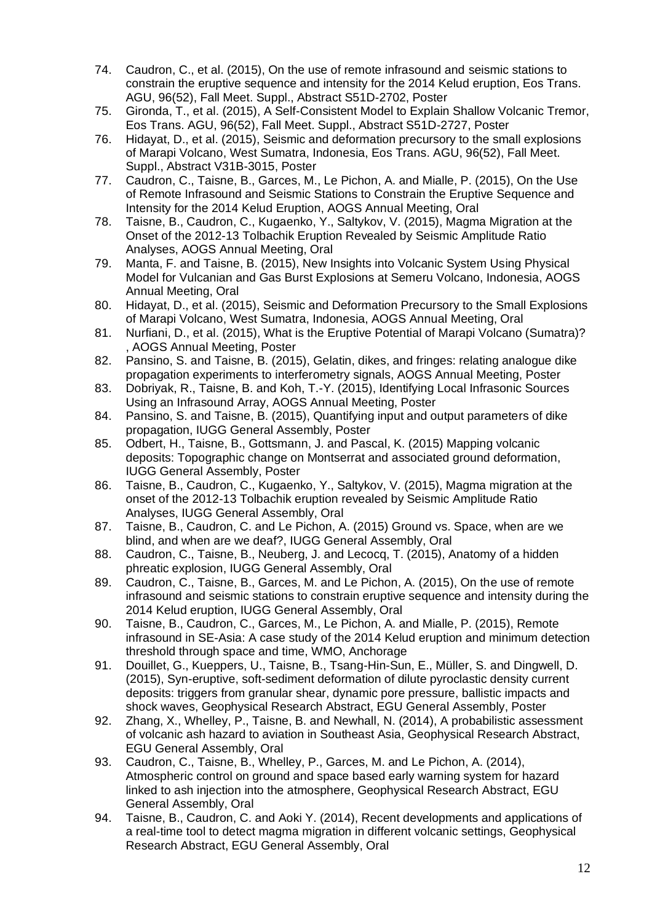- 74. Caudron, C., et al. (2015), On the use of remote infrasound and seismic stations to constrain the eruptive sequence and intensity for the 2014 Kelud eruption, Eos Trans. AGU, 96(52), Fall Meet. Suppl., Abstract S51D-2702, Poster
- 75. Gironda, T., et al. (2015), A Self-Consistent Model to Explain Shallow Volcanic Tremor, Eos Trans. AGU, 96(52), Fall Meet. Suppl., Abstract S51D-2727, Poster
- 76. Hidayat, D., et al. (2015), Seismic and deformation precursory to the small explosions of Marapi Volcano, West Sumatra, Indonesia, Eos Trans. AGU, 96(52), Fall Meet. Suppl., Abstract V31B-3015, Poster
- 77. Caudron, C., Taisne, B., Garces, M., Le Pichon, A. and Mialle, P. (2015), On the Use of Remote Infrasound and Seismic Stations to Constrain the Eruptive Sequence and Intensity for the 2014 Kelud Eruption, AOGS Annual Meeting, Oral
- 78. Taisne, B., Caudron, C., Kugaenko, Y., Saltykov, V. (2015), Magma Migration at the Onset of the 2012-13 Tolbachik Eruption Revealed by Seismic Amplitude Ratio Analyses, AOGS Annual Meeting, Oral
- 79. Manta, F. and Taisne, B. (2015), New Insights into Volcanic System Using Physical Model for Vulcanian and Gas Burst Explosions at Semeru Volcano, Indonesia, AOGS Annual Meeting, Oral
- 80. Hidayat, D., et al. (2015), Seismic and Deformation Precursory to the Small Explosions of Marapi Volcano, West Sumatra, Indonesia, AOGS Annual Meeting, Oral
- 81. Nurfiani, D., et al. (2015), What is the Eruptive Potential of Marapi Volcano (Sumatra)? , AOGS Annual Meeting, Poster
- 82. Pansino, S. and Taisne, B. (2015), Gelatin, dikes, and fringes: relating analogue dike propagation experiments to interferometry signals, AOGS Annual Meeting, Poster
- 83. Dobriyak, R., Taisne, B. and Koh, T.-Y. (2015), Identifying Local Infrasonic Sources Using an Infrasound Array, AOGS Annual Meeting, Poster
- 84. Pansino, S. and Taisne, B. (2015), Quantifying input and output parameters of dike propagation, IUGG General Assembly, Poster
- 85. Odbert, H., Taisne, B., Gottsmann, J. and Pascal, K. (2015) Mapping volcanic deposits: Topographic change on Montserrat and associated ground deformation, IUGG General Assembly, Poster
- 86. Taisne, B., Caudron, C., Kugaenko, Y., Saltykov, V. (2015), Magma migration at the onset of the 2012-13 Tolbachik eruption revealed by Seismic Amplitude Ratio Analyses, IUGG General Assembly, Oral
- 87. Taisne, B., Caudron, C. and Le Pichon, A. (2015) Ground vs. Space, when are we blind, and when are we deaf?, IUGG General Assembly, Oral
- 88. Caudron, C., Taisne, B., Neuberg, J. and Lecocq, T. (2015), Anatomy of a hidden phreatic explosion, IUGG General Assembly, Oral
- 89. Caudron, C., Taisne, B., Garces, M. and Le Pichon, A. (2015), On the use of remote infrasound and seismic stations to constrain eruptive sequence and intensity during the 2014 Kelud eruption, IUGG General Assembly, Oral
- 90. Taisne, B., Caudron, C., Garces, M., Le Pichon, A. and Mialle, P. (2015), Remote infrasound in SE-Asia: A case study of the 2014 Kelud eruption and minimum detection threshold through space and time, WMO, Anchorage
- 91. Douillet, G., Kueppers, U., Taisne, B., Tsang-Hin-Sun, E., Müller, S. and Dingwell, D. (2015), Syn-eruptive, soft-sediment deformation of dilute pyroclastic density current deposits: triggers from granular shear, dynamic pore pressure, ballistic impacts and shock waves, Geophysical Research Abstract, EGU General Assembly, Poster
- 92. Zhang, X., Whelley, P., Taisne, B. and Newhall, N. (2014), A probabilistic assessment of volcanic ash hazard to aviation in Southeast Asia, Geophysical Research Abstract, EGU General Assembly, Oral
- 93. Caudron, C., Taisne, B., Whelley, P., Garces, M. and Le Pichon, A. (2014), Atmospheric control on ground and space based early warning system for hazard linked to ash injection into the atmosphere, Geophysical Research Abstract, EGU General Assembly, Oral
- 94. Taisne, B., Caudron, C. and Aoki Y. (2014), Recent developments and applications of a real-time tool to detect magma migration in different volcanic settings, Geophysical Research Abstract, EGU General Assembly, Oral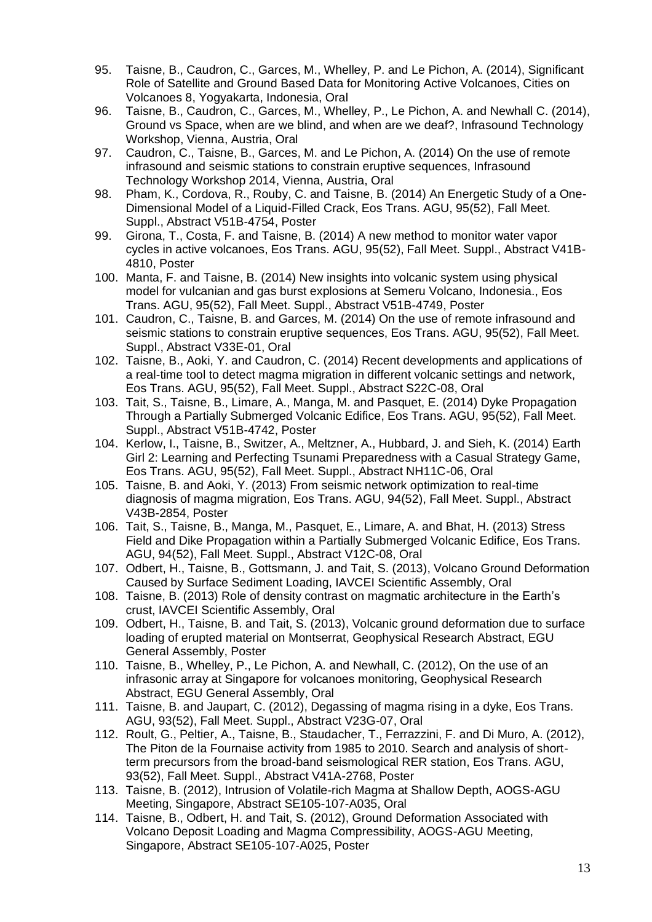- 95. Taisne, B., Caudron, C., Garces, M., Whelley, P. and Le Pichon, A. (2014), Significant Role of Satellite and Ground Based Data for Monitoring Active Volcanoes, Cities on Volcanoes 8, Yogyakarta, Indonesia, Oral
- 96. Taisne, B., Caudron, C., Garces, M., Whelley, P., Le Pichon, A. and Newhall C. (2014), Ground vs Space, when are we blind, and when are we deaf?, Infrasound Technology Workshop, Vienna, Austria, Oral
- 97. Caudron, C., Taisne, B., Garces, M. and Le Pichon, A. (2014) On the use of remote infrasound and seismic stations to constrain eruptive sequences, Infrasound Technology Workshop 2014, Vienna, Austria, Oral
- 98. Pham, K., Cordova, R., Rouby, C. and Taisne, B. (2014) An Energetic Study of a One-Dimensional Model of a Liquid-Filled Crack, Eos Trans. AGU, 95(52), Fall Meet. Suppl., Abstract V51B-4754, Poster
- 99. Girona, T., Costa, F. and Taisne, B. (2014) A new method to monitor water vapor cycles in active volcanoes, Eos Trans. AGU, 95(52), Fall Meet. Suppl., Abstract V41B-4810, Poster
- 100. Manta, F. and Taisne, B. (2014) New insights into volcanic system using physical model for vulcanian and gas burst explosions at Semeru Volcano, Indonesia., Eos Trans. AGU, 95(52), Fall Meet. Suppl., Abstract V51B-4749, Poster
- 101. Caudron, C., Taisne, B. and Garces, M. (2014) On the use of remote infrasound and seismic stations to constrain eruptive sequences, Eos Trans. AGU, 95(52), Fall Meet. Suppl., Abstract V33E-01, Oral
- 102. Taisne, B., Aoki, Y. and Caudron, C. (2014) Recent developments and applications of a real-time tool to detect magma migration in different volcanic settings and network, Eos Trans. AGU, 95(52), Fall Meet. Suppl., Abstract S22C-08, Oral
- 103. Tait, S., Taisne, B., Limare, A., Manga, M. and Pasquet, E. (2014) Dyke Propagation Through a Partially Submerged Volcanic Edifice, Eos Trans. AGU, 95(52), Fall Meet. Suppl., Abstract V51B-4742, Poster
- 104. Kerlow, I., Taisne, B., Switzer, A., Meltzner, A., Hubbard, J. and Sieh, K. (2014) Earth Girl 2: Learning and Perfecting Tsunami Preparedness with a Casual Strategy Game, Eos Trans. AGU, 95(52), Fall Meet. Suppl., Abstract NH11C-06, Oral
- 105. Taisne, B. and Aoki, Y. (2013) From seismic network optimization to real-time diagnosis of magma migration, Eos Trans. AGU, 94(52), Fall Meet. Suppl., Abstract V43B-2854, Poster
- 106. Tait, S., Taisne, B., Manga, M., Pasquet, E., Limare, A. and Bhat, H. (2013) Stress Field and Dike Propagation within a Partially Submerged Volcanic Edifice, Eos Trans. AGU, 94(52), Fall Meet. Suppl., Abstract V12C-08, Oral
- 107. Odbert, H., Taisne, B., Gottsmann, J. and Tait, S. (2013), Volcano Ground Deformation Caused by Surface Sediment Loading, IAVCEI Scientific Assembly, Oral
- 108. Taisne, B. (2013) Role of density contrast on magmatic architecture in the Earth's crust, IAVCEI Scientific Assembly, Oral
- 109. Odbert, H., Taisne, B. and Tait, S. (2013), Volcanic ground deformation due to surface loading of erupted material on Montserrat, Geophysical Research Abstract, EGU General Assembly, Poster
- 110. Taisne, B., Whelley, P., Le Pichon, A. and Newhall, C. (2012), On the use of an infrasonic array at Singapore for volcanoes monitoring, Geophysical Research Abstract, EGU General Assembly, Oral
- 111. Taisne, B. and Jaupart, C. (2012), Degassing of magma rising in a dyke, Eos Trans. AGU, 93(52), Fall Meet. Suppl., Abstract V23G-07, Oral
- 112. Roult, G., Peltier, A., Taisne, B., Staudacher, T., Ferrazzini, F. and Di Muro, A. (2012), The Piton de la Fournaise activity from 1985 to 2010. Search and analysis of shortterm precursors from the broad-band seismological RER station, Eos Trans. AGU, 93(52), Fall Meet. Suppl., Abstract V41A-2768, Poster
- 113. Taisne, B. (2012), Intrusion of Volatile-rich Magma at Shallow Depth, AOGS-AGU Meeting, Singapore, Abstract SE105-107-A035, Oral
- 114. Taisne, B., Odbert, H. and Tait, S. (2012), Ground Deformation Associated with Volcano Deposit Loading and Magma Compressibility, AOGS-AGU Meeting, Singapore, Abstract SE105-107-A025, Poster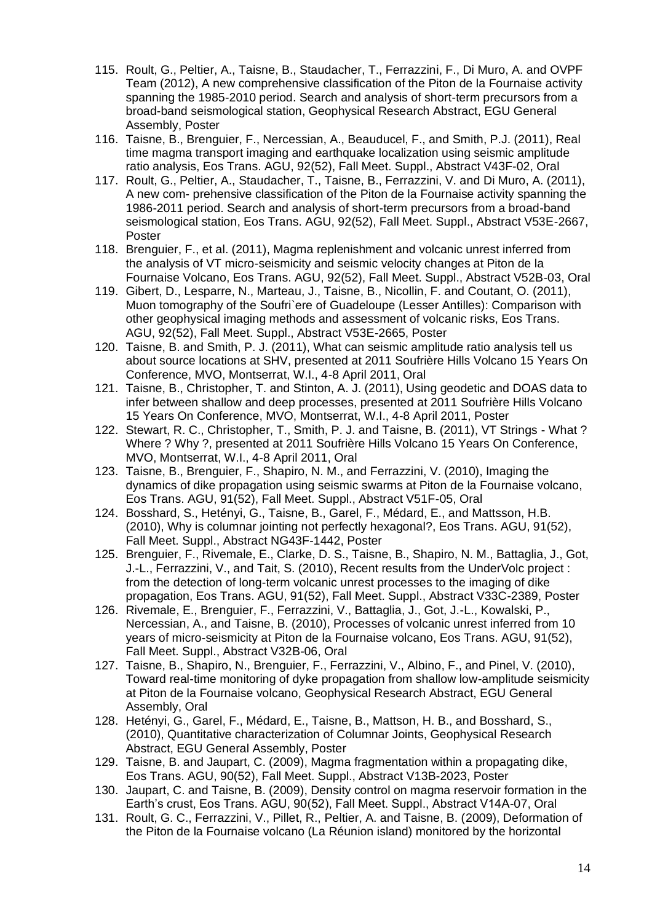- 115. Roult, G., Peltier, A., Taisne, B., Staudacher, T., Ferrazzini, F., Di Muro, A. and OVPF Team (2012), A new comprehensive classification of the Piton de la Fournaise activity spanning the 1985-2010 period. Search and analysis of short-term precursors from a broad-band seismological station, Geophysical Research Abstract, EGU General Assembly, Poster
- 116. Taisne, B., Brenguier, F., Nercessian, A., Beauducel, F., and Smith, P.J. (2011), Real time magma transport imaging and earthquake localization using seismic amplitude ratio analysis, Eos Trans. AGU, 92(52), Fall Meet. Suppl., Abstract V43F-02, Oral
- 117. Roult, G., Peltier, A., Staudacher, T., Taisne, B., Ferrazzini, V. and Di Muro, A. (2011), A new com- prehensive classification of the Piton de la Fournaise activity spanning the 1986-2011 period. Search and analysis of short-term precursors from a broad-band seismological station, Eos Trans. AGU, 92(52), Fall Meet. Suppl., Abstract V53E-2667, Poster
- 118. Brenguier, F., et al. (2011), Magma replenishment and volcanic unrest inferred from the analysis of VT micro-seismicity and seismic velocity changes at Piton de la Fournaise Volcano, Eos Trans. AGU, 92(52), Fall Meet. Suppl., Abstract V52B-03, Oral
- 119. Gibert, D., Lesparre, N., Marteau, J., Taisne, B., Nicollin, F. and Coutant, O. (2011), Muon tomography of the Soufri`ere of Guadeloupe (Lesser Antilles): Comparison with other geophysical imaging methods and assessment of volcanic risks, Eos Trans. AGU, 92(52), Fall Meet. Suppl., Abstract V53E-2665, Poster
- 120. Taisne, B. and Smith, P. J. (2011), What can seismic amplitude ratio analysis tell us about source locations at SHV, presented at 2011 Soufrière Hills Volcano 15 Years On Conference, MVO, Montserrat, W.I., 4-8 April 2011, Oral
- 121. Taisne, B., Christopher, T. and Stinton, A. J. (2011), Using geodetic and DOAS data to infer between shallow and deep processes, presented at 2011 Soufrière Hills Volcano 15 Years On Conference, MVO, Montserrat, W.I., 4-8 April 2011, Poster
- 122. Stewart, R. C., Christopher, T., Smith, P. J. and Taisne, B. (2011), VT Strings What ? Where ? Why ?, presented at 2011 Soufrière Hills Volcano 15 Years On Conference, MVO, Montserrat, W.I., 4-8 April 2011, Oral
- 123. Taisne, B., Brenguier, F., Shapiro, N. M., and Ferrazzini, V. (2010), Imaging the dynamics of dike propagation using seismic swarms at Piton de la Fournaise volcano, Eos Trans. AGU, 91(52), Fall Meet. Suppl., Abstract V51F-05, Oral
- 124. Bosshard, S., Hetényi, G., Taisne, B., Garel, F., Médard, E., and Mattsson, H.B. (2010), Why is columnar jointing not perfectly hexagonal?, Eos Trans. AGU, 91(52), Fall Meet. Suppl., Abstract NG43F-1442, Poster
- 125. Brenguier, F., Rivemale, E., Clarke, D. S., Taisne, B., Shapiro, N. M., Battaglia, J., Got, J.-L., Ferrazzini, V., and Tait, S. (2010), Recent results from the UnderVolc project : from the detection of long-term volcanic unrest processes to the imaging of dike propagation, Eos Trans. AGU, 91(52), Fall Meet. Suppl., Abstract V33C-2389, Poster
- 126. Rivemale, E., Brenguier, F., Ferrazzini, V., Battaglia, J., Got, J.-L., Kowalski, P., Nercessian, A., and Taisne, B. (2010), Processes of volcanic unrest inferred from 10 years of micro-seismicity at Piton de la Fournaise volcano, Eos Trans. AGU, 91(52), Fall Meet. Suppl., Abstract V32B-06, Oral
- 127. Taisne, B., Shapiro, N., Brenguier, F., Ferrazzini, V., Albino, F., and Pinel, V. (2010), Toward real-time monitoring of dyke propagation from shallow low-amplitude seismicity at Piton de la Fournaise volcano, Geophysical Research Abstract, EGU General Assembly, Oral
- 128. Hetényi, G., Garel, F., Médard, E., Taisne, B., Mattson, H. B., and Bosshard, S., (2010), Quantitative characterization of Columnar Joints, Geophysical Research Abstract, EGU General Assembly, Poster
- 129. Taisne, B. and Jaupart, C. (2009), Magma fragmentation within a propagating dike, Eos Trans. AGU, 90(52), Fall Meet. Suppl., Abstract V13B-2023, Poster
- 130. Jaupart, C. and Taisne, B. (2009), Density control on magma reservoir formation in the Earth's crust, Eos Trans. AGU, 90(52), Fall Meet. Suppl., Abstract V14A-07, Oral
- 131. Roult, G. C., Ferrazzini, V., Pillet, R., Peltier, A. and Taisne, B. (2009), Deformation of the Piton de la Fournaise volcano (La Réunion island) monitored by the horizontal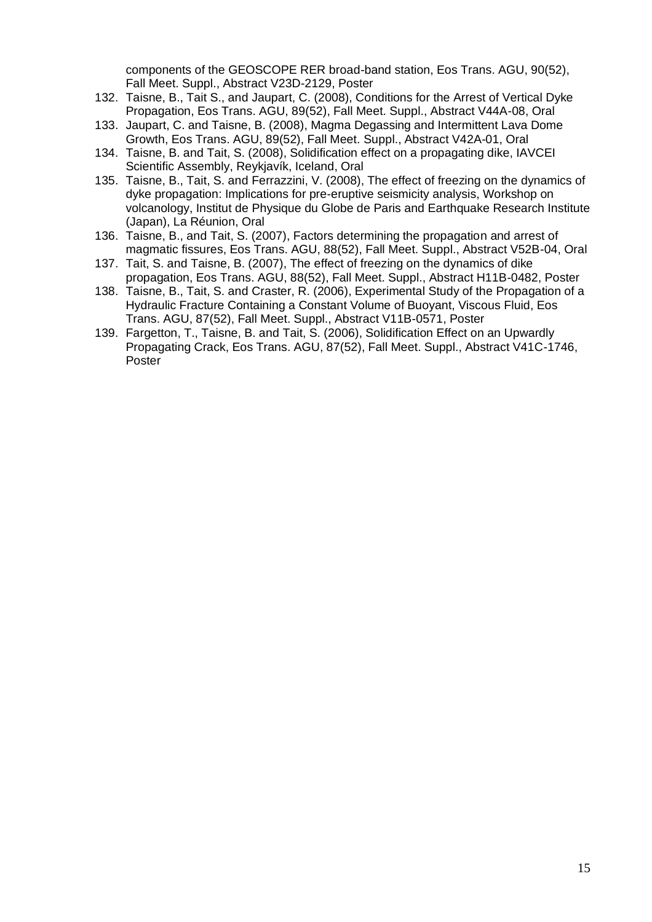components of the GEOSCOPE RER broad-band station, Eos Trans. AGU, 90(52), Fall Meet. Suppl., Abstract V23D-2129, Poster

- 132. Taisne, B., Tait S., and Jaupart, C. (2008), Conditions for the Arrest of Vertical Dyke Propagation, Eos Trans. AGU, 89(52), Fall Meet. Suppl., Abstract V44A-08, Oral
- 133. Jaupart, C. and Taisne, B. (2008), Magma Degassing and Intermittent Lava Dome Growth, Eos Trans. AGU, 89(52), Fall Meet. Suppl., Abstract V42A-01, Oral
- 134. Taisne, B. and Tait, S. (2008), Solidification effect on a propagating dike, IAVCEI Scientific Assembly, Reykjavík, Iceland, Oral
- 135. Taisne, B., Tait, S. and Ferrazzini, V. (2008), The effect of freezing on the dynamics of dyke propagation: Implications for pre-eruptive seismicity analysis, Workshop on volcanology, Institut de Physique du Globe de Paris and Earthquake Research Institute (Japan), La Réunion, Oral
- 136. Taisne, B., and Tait, S. (2007), Factors determining the propagation and arrest of magmatic fissures, Eos Trans. AGU, 88(52), Fall Meet. Suppl., Abstract V52B-04, Oral
- 137. Tait, S. and Taisne, B. (2007), The effect of freezing on the dynamics of dike propagation, Eos Trans. AGU, 88(52), Fall Meet. Suppl., Abstract H11B-0482, Poster
- 138. Taisne, B., Tait, S. and Craster, R. (2006), Experimental Study of the Propagation of a Hydraulic Fracture Containing a Constant Volume of Buoyant, Viscous Fluid, Eos Trans. AGU, 87(52), Fall Meet. Suppl., Abstract V11B-0571, Poster
- 139. Fargetton, T., Taisne, B. and Tait, S. (2006), Solidification Effect on an Upwardly Propagating Crack, Eos Trans. AGU, 87(52), Fall Meet. Suppl., Abstract V41C-1746, Poster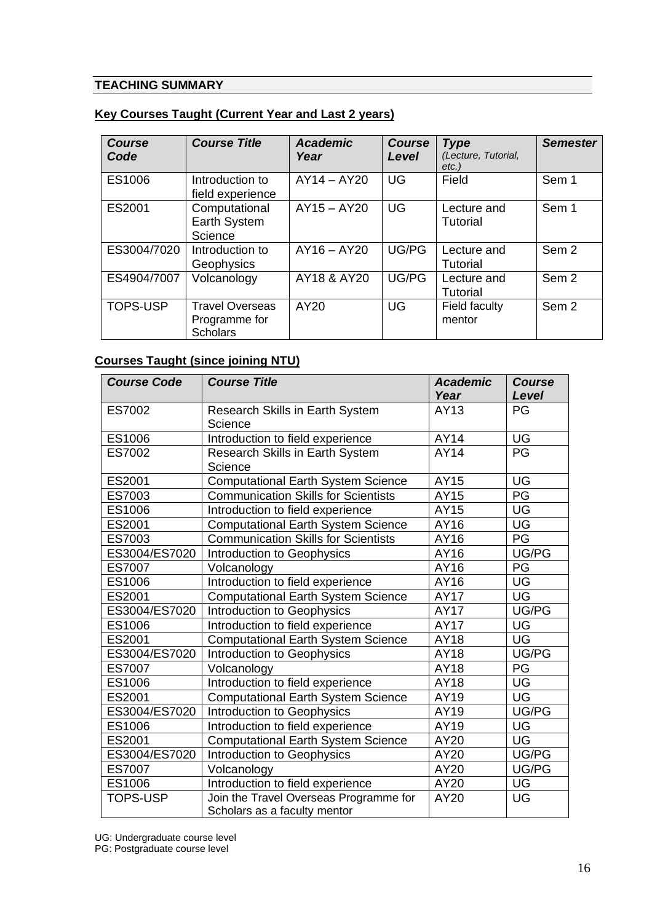### **TEACHING SUMMARY**

| <b>Course</b><br>Code | <b>Course Title</b>                                        | <b>Academic</b><br>Year | <b>Course</b><br>Level | <b>Type</b><br>(Lecture, Tutorial,<br>$etc.$ ) | <b>Semester</b>  |
|-----------------------|------------------------------------------------------------|-------------------------|------------------------|------------------------------------------------|------------------|
| ES1006                | Introduction to<br>field experience                        | $AY14 - AY20$           | UG                     | Field                                          | Sem 1            |
| ES2001                | Computational<br>Earth System<br>Science                   | $AY15 - AY20$           | <b>UG</b>              | Lecture and<br>Tutorial                        | Sem 1            |
| ES3004/7020           | Introduction to<br>Geophysics                              | $AY16 - AY20$           | UG/PG                  | Lecture and<br>Tutorial                        | Sem <sub>2</sub> |
| ES4904/7007           | Volcanology                                                | AY18 & AY20             | UG/PG                  | Lecture and<br><b>Tutorial</b>                 | Sem <sub>2</sub> |
| <b>TOPS-USP</b>       | <b>Travel Overseas</b><br>Programme for<br><b>Scholars</b> | AY20                    | UG                     | Field faculty<br>mentor                        | Sem <sub>2</sub> |

#### **Key Courses Taught (Current Year and Last 2 years)**

# **Courses Taught (since joining NTU)**

| <b>Course Code</b> | <b>Course Title</b>                                                    | <b>Academic</b><br>Year | <b>Course</b><br>Level |
|--------------------|------------------------------------------------------------------------|-------------------------|------------------------|
| ES7002             | <b>Research Skills in Earth System</b><br>Science                      | AY13                    | PG                     |
| ES1006             | Introduction to field experience                                       | AY14                    | UG                     |
| ES7002             | Research Skills in Earth System<br>Science                             | <b>AY14</b>             | PG                     |
| ES2001             | <b>Computational Earth System Science</b>                              | AY15                    | UG                     |
| ES7003             | <b>Communication Skills for Scientists</b>                             | AY15                    | $\overline{PG}$        |
| ES1006             | Introduction to field experience                                       | AY15                    | UG                     |
| ES2001             | <b>Computational Earth System Science</b>                              | AY16                    | UG                     |
| ES7003             | <b>Communication Skills for Scientists</b>                             | AY16                    | PG                     |
| ES3004/ES7020      | Introduction to Geophysics                                             | AY16                    | UG/PG                  |
| <b>ES7007</b>      | Volcanology                                                            | AY16                    | PG                     |
| ES1006             | Introduction to field experience                                       | AY16                    | UG                     |
| ES2001             | <b>Computational Earth System Science</b>                              | <b>AY17</b>             | <b>UG</b>              |
| ES3004/ES7020      | Introduction to Geophysics                                             | <b>AY17</b>             | UG/PG                  |
| ES1006             | Introduction to field experience                                       | <b>AY17</b>             | UG                     |
| ES2001             | <b>Computational Earth System Science</b>                              | AY18                    | UG                     |
| ES3004/ES7020      | Introduction to Geophysics                                             | AY18                    | UG/PG                  |
| <b>ES7007</b>      | Volcanology                                                            | AY18                    | PG                     |
| ES1006             | Introduction to field experience                                       | AY18                    | UG                     |
| ES2001             | <b>Computational Earth System Science</b>                              | AY19                    | <b>UG</b>              |
| ES3004/ES7020      | Introduction to Geophysics                                             | AY19                    | UG/PG                  |
| ES1006             | Introduction to field experience                                       | AY19                    | UG                     |
| ES2001             | <b>Computational Earth System Science</b>                              | AY20                    | UG                     |
| ES3004/ES7020      | Introduction to Geophysics                                             | AY20                    | UG/PG                  |
| ES7007             | Volcanology                                                            | AY20                    | UG/PG                  |
| ES1006             | Introduction to field experience                                       | AY20                    | UG                     |
| <b>TOPS-USP</b>    | Join the Travel Overseas Programme for<br>Scholars as a faculty mentor | AY20                    | UG                     |

UG: Undergraduate course level

PG: Postgraduate course level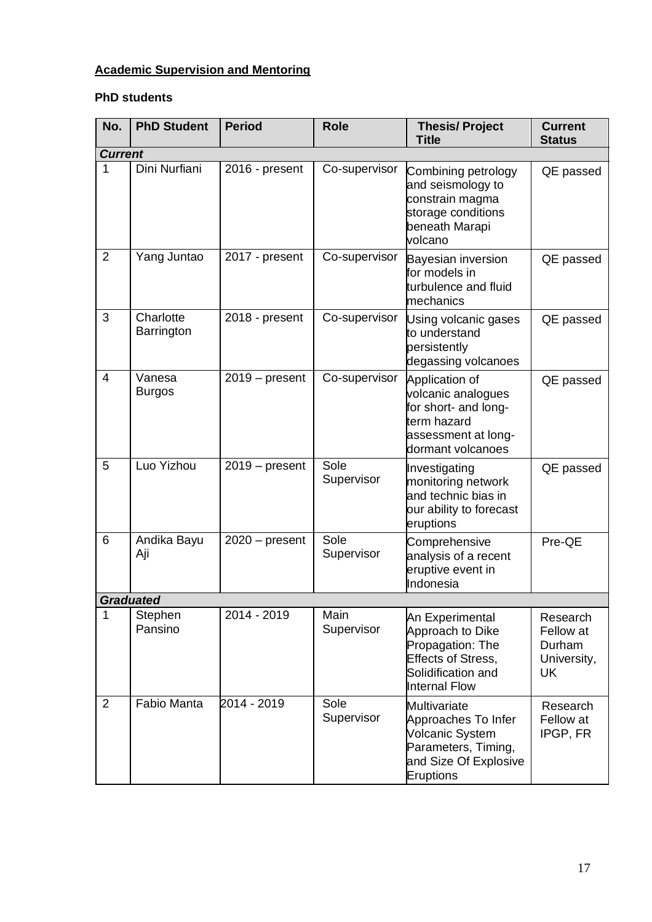# **Academic Supervision and Mentoring**

## **PhD students**

| No.            | <b>PhD Student</b>      | <b>Period</b>    | <b>Role</b>        | <b>Thesis/Project</b><br><b>Title</b>                                                                                              | <b>Current</b><br><b>Status</b>                      |
|----------------|-------------------------|------------------|--------------------|------------------------------------------------------------------------------------------------------------------------------------|------------------------------------------------------|
| <b>Current</b> |                         |                  |                    |                                                                                                                                    |                                                      |
| 1              | Dini Nurfiani           | 2016 - present   | Co-supervisor      | Combining petrology<br>and seismology to<br>constrain magma<br>storage conditions<br>beneath Marapi<br>volcano                     | QE passed                                            |
| 2              | Yang Juntao             | 2017 - present   | Co-supervisor      | Bayesian inversion<br>for models in<br>turbulence and fluid<br>mechanics                                                           | QE passed                                            |
| 3              | Charlotte<br>Barrington | 2018 - present   | Co-supervisor      | Using volcanic gases<br>to understand<br>persistently<br>degassing volcanoes                                                       | QE passed                                            |
| $\overline{4}$ | Vanesa<br><b>Burgos</b> | $2019 - present$ | Co-supervisor      | Application of<br>volcanic analogues<br>for short- and long-<br>term hazard<br>assessment at long-<br>dormant volcanoes            | QE passed                                            |
| 5              | Luo Yizhou              | $2019 - present$ | Sole<br>Supervisor | Investigating<br>monitoring network<br>and technic bias in<br>our ability to forecast<br>eruptions                                 | QE passed                                            |
| 6              | Andika Bayu<br>Aji      | $2020 - present$ | Sole<br>Supervisor | Comprehensive<br>analysis of a recent<br>eruptive event in<br>Indonesia                                                            | Pre-QE                                               |
|                | <b>Graduated</b>        |                  |                    |                                                                                                                                    |                                                      |
| 1              | Stephen<br>Pansino      | 2014 - 2019      | Main<br>Supervisor | An Experimental<br>Approach to Dike<br>Propagation: The<br><b>Effects of Stress,</b><br>Solidification and<br><b>Internal Flow</b> | Research<br>Fellow at<br>Durham<br>University,<br>UK |
| 2              | Fabio Manta             | 2014 - 2019      | Sole<br>Supervisor | Multivariate<br>Approaches To Infer<br><b>Volcanic System</b><br>Parameters, Timing,<br>and Size Of Explosive<br><b>Eruptions</b>  | Research<br>Fellow at<br>IPGP, FR                    |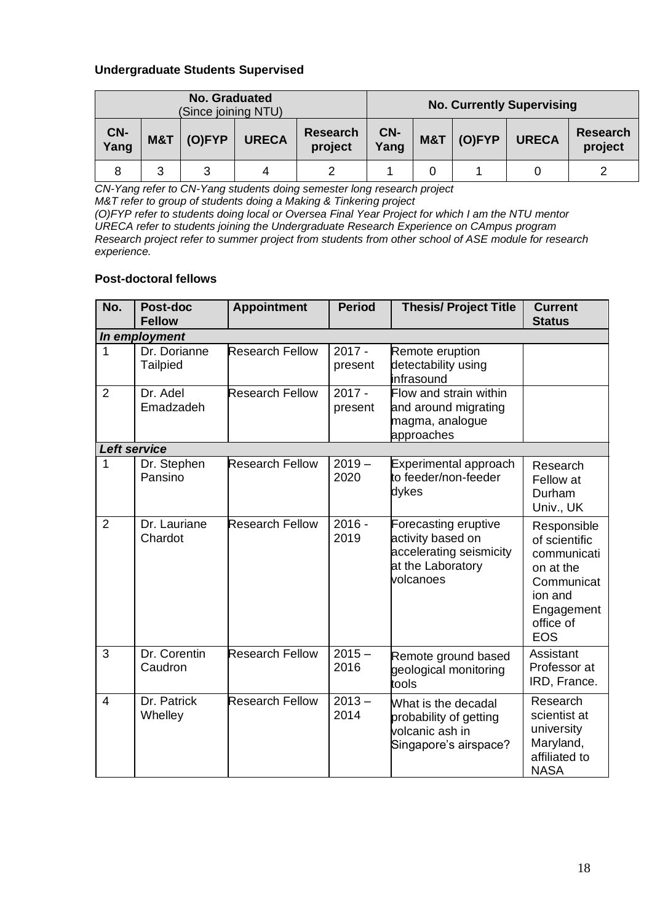#### **Undergraduate Students Supervised**

| No. Graduated<br>(Since joining NTU) |     |           |              |                            |             |     | <b>No. Currently Supervising</b> |              |                            |
|--------------------------------------|-----|-----------|--------------|----------------------------|-------------|-----|----------------------------------|--------------|----------------------------|
| CN-<br>Yang                          | M&T | $(O)$ FYP | <b>URECA</b> | <b>Research</b><br>project | CN-<br>Yang | M&T | (O)FYP                           | <b>URECA</b> | <b>Research</b><br>project |
| 8                                    | 3   | 2         |              |                            |             |     |                                  |              |                            |

*CN-Yang refer to CN-Yang students doing semester long research project*

*M&T refer to group of students doing a Making & Tinkering project*

*(O)FYP refer to students doing local or Oversea Final Year Project for which I am the NTU mentor URECA refer to students joining the Undergraduate Research Experience on CAmpus program Research project refer to summer project from students from other school of ASE module for research experience.*

### **Post-doctoral fellows**

| No.            | Post-doc<br><b>Fellow</b>       | <b>Appointment</b>     | <b>Period</b>       | <b>Thesis/ Project Title</b>                                                                           | <b>Current</b><br><b>Status</b>                                                                                            |
|----------------|---------------------------------|------------------------|---------------------|--------------------------------------------------------------------------------------------------------|----------------------------------------------------------------------------------------------------------------------------|
|                | In employment                   |                        |                     |                                                                                                        |                                                                                                                            |
| $\mathbf{1}$   | Dr. Dorianne<br><b>Tailpied</b> | <b>Research Fellow</b> | $2017 -$<br>present | Remote eruption<br>detectability using<br>infrasound                                                   |                                                                                                                            |
| $\overline{2}$ | Dr. Adel<br>Emadzadeh           | <b>Research Fellow</b> | $2017 -$<br>present | Flow and strain within<br>and around migrating<br>magma, analogue<br>approaches                        |                                                                                                                            |
|                | <b>Left service</b>             |                        |                     |                                                                                                        |                                                                                                                            |
| $\mathbf{1}$   | Dr. Stephen<br>Pansino          | <b>Research Fellow</b> | $2019 -$<br>2020    | Experimental approach<br>to feeder/non-feeder<br>dykes                                                 | Research<br>Fellow at<br>Durham<br>Univ., UK                                                                               |
| $\overline{2}$ | Dr. Lauriane<br>Chardot         | <b>Research Fellow</b> | $2016 -$<br>2019    | Forecasting eruptive<br>activity based on<br>accelerating seismicity<br>at the Laboratory<br>volcanoes | Responsible<br>of scientific<br>communicati<br>on at the<br>Communicat<br>ion and<br>Engagement<br>office of<br><b>EOS</b> |
| 3              | Dr. Corentin<br>Caudron         | <b>Research Fellow</b> | $2015 -$<br>2016    | Remote ground based<br>geological monitoring<br>tools                                                  | Assistant<br>Professor at<br>IRD, France.                                                                                  |
| $\overline{4}$ | Dr. Patrick<br>Whelley          | <b>Research Fellow</b> | $2013 -$<br>2014    | What is the decadal<br>probability of getting<br>volcanic ash in<br>Singapore's airspace?              | Research<br>scientist at<br>university<br>Maryland,<br>affiliated to<br><b>NASA</b>                                        |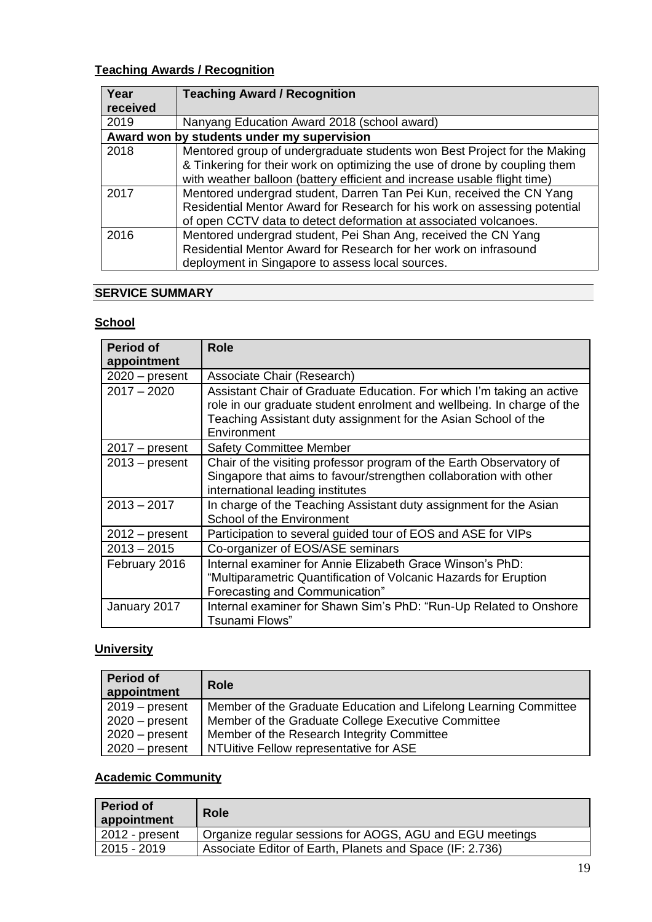# **Teaching Awards / Recognition**

| Year                                       | <b>Teaching Award / Recognition</b>                                                                                                                                                                                   |  |
|--------------------------------------------|-----------------------------------------------------------------------------------------------------------------------------------------------------------------------------------------------------------------------|--|
| received                                   |                                                                                                                                                                                                                       |  |
| 2019                                       | Nanyang Education Award 2018 (school award)                                                                                                                                                                           |  |
| Award won by students under my supervision |                                                                                                                                                                                                                       |  |
| 2018                                       | Mentored group of undergraduate students won Best Project for the Making                                                                                                                                              |  |
|                                            | & Tinkering for their work on optimizing the use of drone by coupling them<br>with weather balloon (battery efficient and increase usable flight time)                                                                |  |
| 2017                                       | Mentored undergrad student, Darren Tan Pei Kun, received the CN Yang<br>Residential Mentor Award for Research for his work on assessing potential<br>of open CCTV data to detect deformation at associated volcanoes. |  |
| 2016                                       | Mentored undergrad student, Pei Shan Ang, received the CN Yang<br>Residential Mentor Award for Research for her work on infrasound<br>deployment in Singapore to assess local sources.                                |  |

## **SERVICE SUMMARY**

# **School**

| <b>Period of</b><br>appointment | <b>Role</b>                                                                                                                                                                                                                      |
|---------------------------------|----------------------------------------------------------------------------------------------------------------------------------------------------------------------------------------------------------------------------------|
| $2020$ – present                | Associate Chair (Research)                                                                                                                                                                                                       |
| $2017 - 2020$                   | Assistant Chair of Graduate Education. For which I'm taking an active<br>role in our graduate student enrolment and wellbeing. In charge of the<br>Teaching Assistant duty assignment for the Asian School of the<br>Environment |
| $2017 - present$                | <b>Safety Committee Member</b>                                                                                                                                                                                                   |
| $2013 - present$                | Chair of the visiting professor program of the Earth Observatory of<br>Singapore that aims to favour/strengthen collaboration with other<br>international leading institutes                                                     |
| $2013 - 2017$                   | In charge of the Teaching Assistant duty assignment for the Asian<br>School of the Environment                                                                                                                                   |
| $2012$ – present                | Participation to several guided tour of EOS and ASE for VIPs                                                                                                                                                                     |
| $2013 - 2015$                   | Co-organizer of EOS/ASE seminars                                                                                                                                                                                                 |
| February 2016                   | Internal examiner for Annie Elizabeth Grace Winson's PhD:<br>"Multiparametric Quantification of Volcanic Hazards for Eruption<br>Forecasting and Communication"                                                                  |
| January 2017                    | Internal examiner for Shawn Sim's PhD: "Run-Up Related to Onshore<br>Tsunami Flows"                                                                                                                                              |

# **University**

| <b>Period of</b><br>appointment | <b>Role</b>                                                      |
|---------------------------------|------------------------------------------------------------------|
| $2019 - present$                | Member of the Graduate Education and Lifelong Learning Committee |
| $2020$ – present                | Member of the Graduate College Executive Committee               |
| $2020 - present$                | Member of the Research Integrity Committee                       |
| $2020 - present$                | NTUitive Fellow representative for ASE                           |

# **Academic Community**

| Period of<br>appointment | <b>Role</b>                                              |
|--------------------------|----------------------------------------------------------|
| 2012 - present           | Organize regular sessions for AOGS, AGU and EGU meetings |
| 2015 - 2019              | Associate Editor of Earth, Planets and Space (IF: 2.736) |